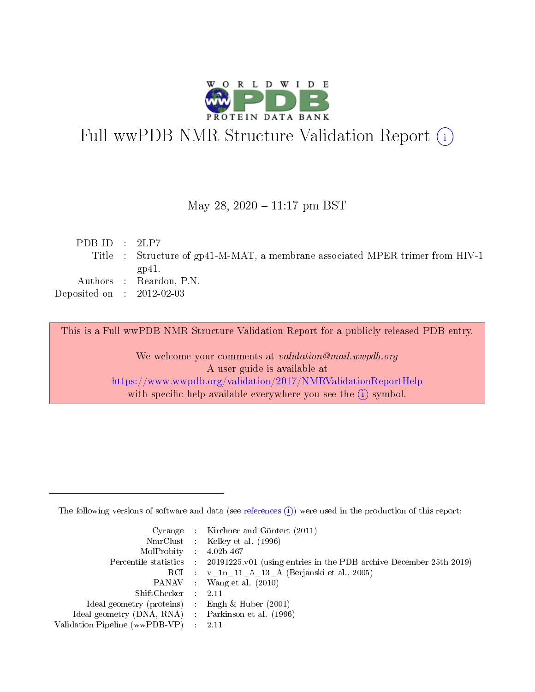

# Full wwPDB NMR Structure Validation Report (i)

## May 28,  $2020 - 11:17$  pm BST

| PDB ID : $2LP7$             |                                                                               |
|-----------------------------|-------------------------------------------------------------------------------|
|                             | Title : Structure of gp41-M-MAT, a membrane associated MPER trimer from HIV-1 |
|                             | gp $41.$                                                                      |
|                             | Authors : Reardon, P.N.                                                       |
| Deposited on : $2012-02-03$ |                                                                               |
|                             |                                                                               |

This is a Full wwPDB NMR Structure Validation Report for a publicly released PDB entry.

We welcome your comments at validation@mail.wwpdb.org A user guide is available at <https://www.wwpdb.org/validation/2017/NMRValidationReportHelp> with specific help available everywhere you see the  $(i)$  symbol.

The following versions of software and data (see [references](https://www.wwpdb.org/validation/2017/NMRValidationReportHelp#references)  $(1)$ ) were used in the production of this report:

|                                                    | Cyrange : Kirchner and Güntert $(2011)$                                                    |
|----------------------------------------------------|--------------------------------------------------------------------------------------------|
|                                                    | NmrClust : Kelley et al. (1996)                                                            |
| $MolProbability$ 4.02b-467                         |                                                                                            |
|                                                    | Percentile statistics : 20191225.v01 (using entries in the PDB archive December 25th 2019) |
|                                                    | RCI : v 1n 11 5 13 A (Berjanski et al., 2005)                                              |
|                                                    | PANAV Wang et al. (2010)                                                                   |
| $ShiftChecker$ : 2.11                              |                                                                                            |
| Ideal geometry (proteins) : Engh $\&$ Huber (2001) |                                                                                            |
| Ideal geometry (DNA, RNA) Parkinson et al. (1996)  |                                                                                            |
| Validation Pipeline (wwPDB-VP)                     | 2.11                                                                                       |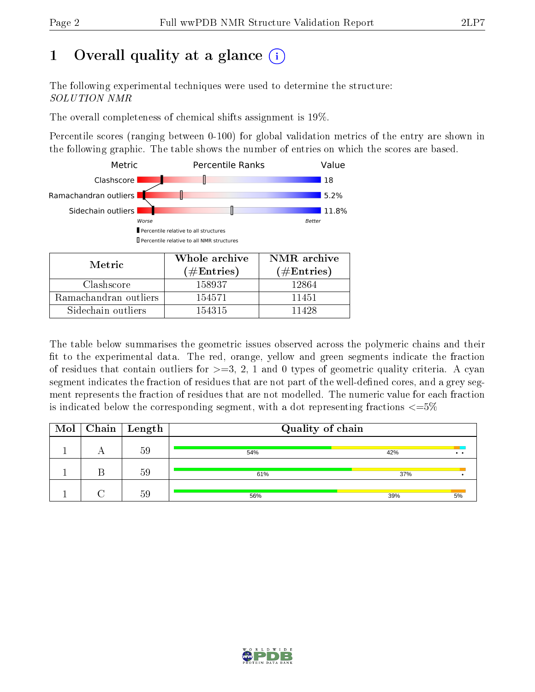# 1 [O](https://www.wwpdb.org/validation/2017/NMRValidationReportHelp#overall_quality)verall quality at a glance  $(i)$

The following experimental techniques were used to determine the structure: SOLUTION NMR

The overall completeness of chemical shifts assignment is 19%.

Percentile scores (ranging between 0-100) for global validation metrics of the entry are shown in the following graphic. The table shows the number of entries on which the scores are based.



| Metric.               | Whole archive<br>$(\#\mathrm{Entries})$ | NMR archive<br>$(\#Entries)$ |
|-----------------------|-----------------------------------------|------------------------------|
| Clashscore            | 158937                                  | 12864                        |
| Ramachandran outliers | 154571                                  | 11451                        |
| Sidechain outliers    | 154315                                  | 11428                        |

The table below summarises the geometric issues observed across the polymeric chains and their fit to the experimental data. The red, orange, yellow and green segments indicate the fraction of residues that contain outliers for  $>=3, 2, 1$  and 0 types of geometric quality criteria. A cyan segment indicates the fraction of residues that are not part of the well-defined cores, and a grey segment represents the fraction of residues that are not modelled. The numeric value for each fraction is indicated below the corresponding segment, with a dot representing fractions  $\epsilon = 5\%$ 

|  | $\boxed{\text{Mol}}$ Chain   Length | Quality of chain |                             |  |  |  |
|--|-------------------------------------|------------------|-----------------------------|--|--|--|
|  | 59                                  | 54%              | 42%<br>$\ddot{\phantom{a}}$ |  |  |  |
|  | 59                                  | 61%              | 37%                         |  |  |  |
|  | 59                                  | 56%              | 39%<br>5%                   |  |  |  |

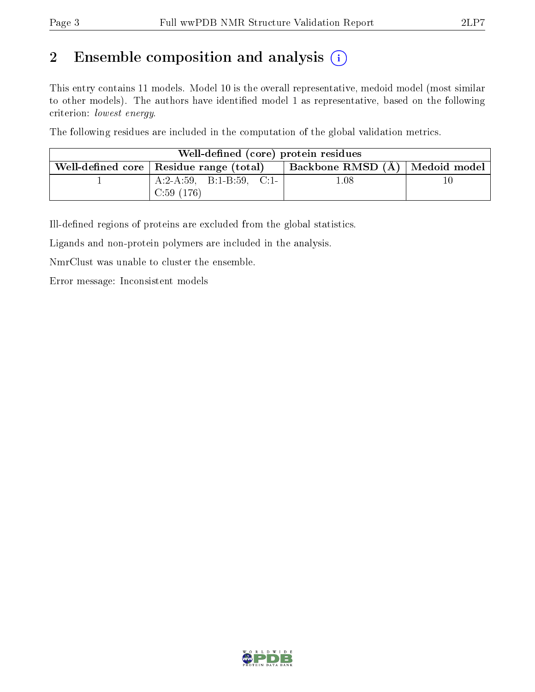# 2 Ensemble composition and analysis  $(i)$

This entry contains 11 models. Model 10 is the overall representative, medoid model (most similar to other models). The authors have identified model 1 as representative, based on the following criterion: lowest energy.

The following residues are included in the computation of the global validation metrics.

| Well-defined (core) protein residues |                                                                                 |      |    |  |  |  |  |
|--------------------------------------|---------------------------------------------------------------------------------|------|----|--|--|--|--|
|                                      | Backbone RMSD (A)   Medoid model  <br>Well-defined core   Residue range (total) |      |    |  |  |  |  |
|                                      | A:2-A:59, B:1-B:59, C:1-                                                        | 1.08 | 10 |  |  |  |  |
|                                      | C:59(176)                                                                       |      |    |  |  |  |  |

Ill-defined regions of proteins are excluded from the global statistics.

Ligands and non-protein polymers are included in the analysis.

NmrClust was unable to cluster the ensemble.

Error message: Inconsistent models

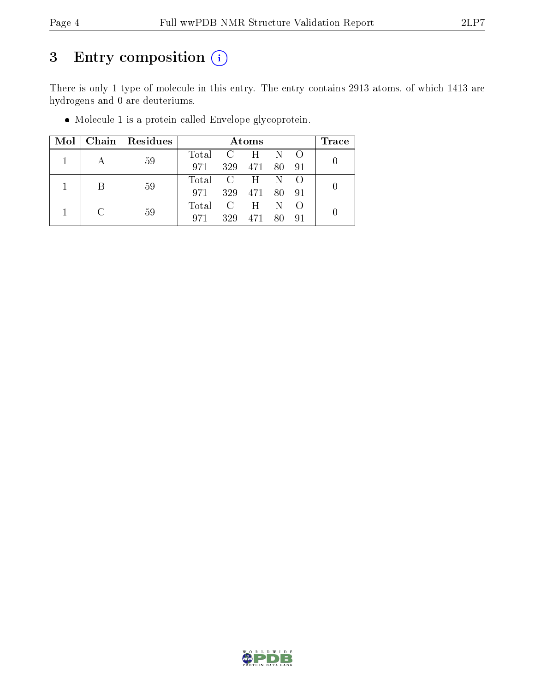# 3 Entry composition (i)

There is only 1 type of molecule in this entry. The entry contains 2913 atoms, of which 1413 are hydrogens and 0 are deuteriums.

|   | Mol   Chain   Residues |             |     | Atoms         |             | Trace |
|---|------------------------|-------------|-----|---------------|-------------|-------|
|   | 59                     | Total C H N |     |               |             |       |
|   |                        | 971         |     | 329 471       | - 80 - 91   |       |
| B |                        | Total C H N |     |               |             |       |
|   | 59                     | 971         |     | 329 471 80 91 |             |       |
|   |                        | Total C H   |     |               | $\mathbb N$ |       |
|   | 59                     | 971         | 329 | 471           | -80         |       |

Molecule 1 is a protein called Envelope glycoprotein.

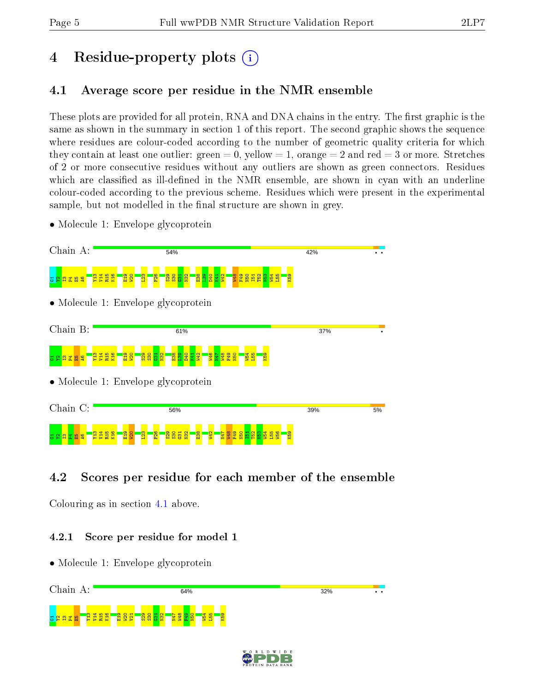# 4 Residue-property plots  $\binom{1}{1}$

## <span id="page-4-0"></span>4.1 Average score per residue in the NMR ensemble

These plots are provided for all protein, RNA and DNA chains in the entry. The first graphic is the same as shown in the summary in section 1 of this report. The second graphic shows the sequence where residues are colour-coded according to the number of geometric quality criteria for which they contain at least one outlier: green  $= 0$ , yellow  $= 1$ , orange  $= 2$  and red  $= 3$  or more. Stretches of 2 or more consecutive residues without any outliers are shown as green connectors. Residues which are classified as ill-defined in the NMR ensemble, are shown in cyan with an underline colour-coded according to the previous scheme. Residues which were present in the experimental sample, but not modelled in the final structure are shown in grey.

• Molecule 1: Envelope glycoprotein



## 4.2 Scores per residue for each member of the ensemble

Colouring as in section [4.1](#page-4-0) above.

#### 4.2.1 Score per residue for model 1



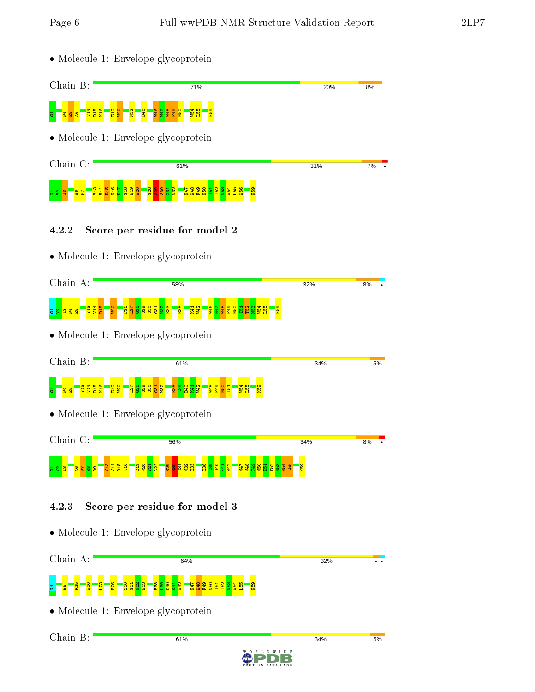Chain B:

5%

5%

34%

• Molecule 1: Envelope glycoprotein Chain B: 71% 20%  $R\%$ G1P4E5A6V14 W54 L55 R15 K16  $\frac{1}{2}$ W20  $\frac{2}{2}$  $\frac{1}{2}$ W46 N47 W48  $\frac{1}{2}$ N50 K59 • Molecule 1: Envelope glycoprotein Chain C: 61% 31% 7% Y13  $\frac{14}{14}$ R15  $\frac{80}{25}$  $\frac{5}{10}$  $\frac{8}{3}$  $\frac{2}{5}$  $\frac{1}{2}$  $\frac{8}{3}$  $\frac{8}{2}$  $\frac{8}{2}$  $\frac{5}{2}$  $\frac{32}{2}$ N47 W48 F49  $\frac{1}{2}$  $\overline{5}$ T52  $\frac{3}{2}$ W54 L55  $\frac{1}{2}$ K59  $\mathbb{Z}$   $\mathbb{Z}$ 4.2.2 Score per residue for model 2 • Molecule 1: Envelope glycoprotein Chain A: 58% 32% 8%  $\frac{14}{14}$  $\frac{15}{2}$  $\frac{1}{2}$  $\frac{8}{5}$ <mark>ទ្ទីខ្លីខ្លីខ្លី</mark>  $\frac{8}{2}$  $\frac{23}{2}$  $\frac{8}{2}$  $\frac{14}{14}$ W42 W46 N47  $\frac{1}{2}$ F49  $\frac{50}{2}$  $\overline{5}$ T52  $\frac{3}{2}$  $54$  $\frac{155}{2}$  $\frac{63}{2}$ <mark>ទ ន</mark> ដ ង • Molecule 1: Envelope glycoprotein Chain B: 61% 34%  $\mathtt{g}$   $\mathbb{F}$   $\mathtt{g}$  as  $\mathbb{F}$   $\mathtt{g}$   $\mathtt{g}$   $\mathtt{g}$ R15 K16 E19  $\frac{1}{2}$  $\overline{\mathbf{z}}$  $\frac{8}{12}$  $\frac{529}{2}$  $\frac{8}{25}$  $\frac{2}{2}$  $\frac{8}{2}$  $\frac{8}{2}$  $\frac{1}{2}$  $\frac{29}{42}$ W48  $\frac{1}{2}$  $\frac{1}{2}$  $\frac{4}{5}$  $\frac{55}{2}$  $\frac{8}{3}$  $\frac{1}{2}$ K41  $\overline{5}$ • Molecule 1: Envelope glycoprotein Chain C: 56% 34% 8%  $\frac{14}{14}$ W54 Y13 R15 K16 E19  $\frac{1}{2}$  $\frac{1}{2}$  $\frac{22}{2}$  $\frac{8}{22}$  $\frac{8}{20}$  $\frac{5}{15}$  $\frac{32}{2}$  $\frac{3}{2}$  $\frac{8}{2}$  $\frac{8}{2}$ D40  $\frac{1}{2}$ W42 N47  $\frac{48}{1}$ 해  $\frac{1}{2}$ I51 T52  $\frac{3}{2}$  $\frac{155}{155}$ K59  $5^{\circ}$  $\overline{\mathbf{g}}$  . 4.2.3 Score per residue for model 3 • Molecule 1: Envelope glycoprotein Chain A: 64% 32% g <mark>– 8 – 8 – 8</mark> –  $\mathbf{S}$  $\frac{26}{5}$  $\frac{30}{2}$  $\frac{5}{2}$  $\frac{8}{2}$  $\frac{33}{2}$  $\frac{8}{2}$  $\frac{8}{2}$ D40  $\frac{11}{2}$ W42 N47 W48 F49 N50 I51 T52  $\frac{3}{2}$  $54$  $\frac{155}{15}$ K59 • Molecule 1: Envelope glycoprotein

61%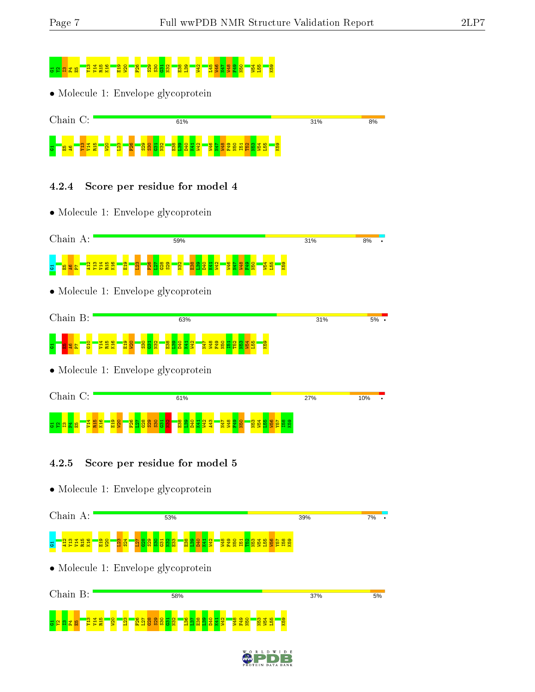# <mark>ទនជីនី គ្នាង</mark>

• Molecule 1: Envelope glycoprotein



## 4.2.4 Score per residue for model 4

• Molecule 1: Envelope glycoprotein



## 4.2.5 Score per residue for model 5

• Molecule 1: Envelope glycoprotein





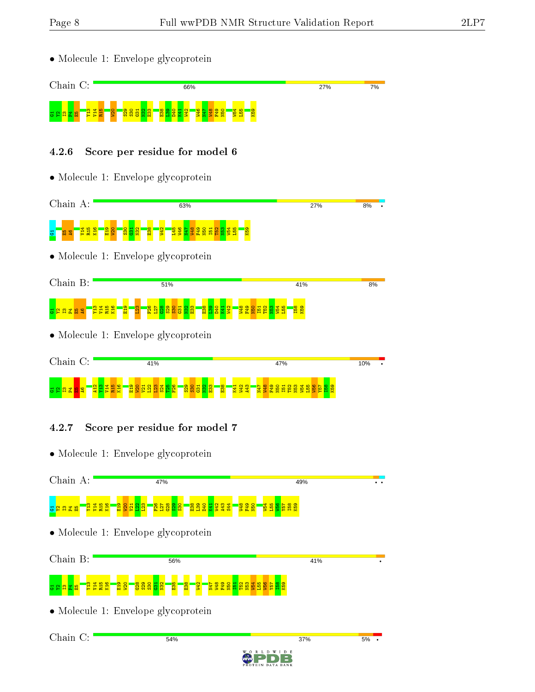• Molecule 1: Envelope glycoprotein



## 4.2.6 Score per residue for model 6

• Molecule 1: Envelope glycoprotein



## 4.2.7 Score per residue for model 7

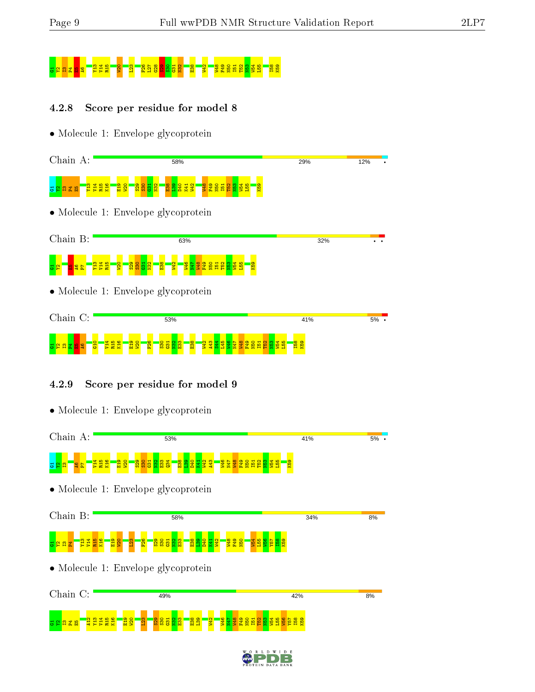# 5 S25 F52 F52 F52 F52 F52 S20 S30 S30 S20 E38 W54 F52 S30 S30 F52 W54 F52 W54 L55 E39 W54 L52 N53 W54 L55 E39

## 4.2.8 Score per residue for model 8



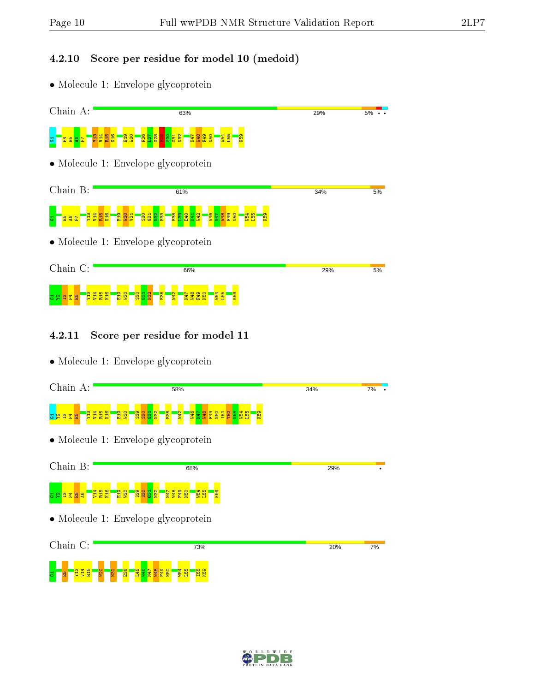## 4.2.10 Score per residue for model 10 (medoid)

• Molecule 1: Envelope glycoprotein

| Chain A:                                                                  | 63%                                                                                                                                                                         | 29% | 5% |
|---------------------------------------------------------------------------|-----------------------------------------------------------------------------------------------------------------------------------------------------------------------------|-----|----|
| <b>PERET</b><br><u> 보통 중</u>                                              | <mark>ីខ្លួ ង្អ ឌ្ល ឌ្ល ឌ្ល ឌ្ល </mark><br>$\frac{12}{12}$<br><mark>음을</mark><br><mark>발몰 않을</mark><br>K59                                                                  |     |    |
|                                                                           | • Molecule 1: Envelope glycoprotein                                                                                                                                         |     |    |
| Chain B:                                                                  | 61%                                                                                                                                                                         | 34% | 5% |
| <mark>ទ្ធិដី និងទី ដី</mark><br>និង និង <mark>និង</mark><br>$\frac{1}{2}$ | <mark>ិន្តនីធ្នូ ខ្លួ នូ</mark> នី <mark>ន</mark> ិ<br><b>1410</b><br>1417<br><b>65z1</b><br><mark>9日</mark><br>155<br><b>QH</b><br><b>Ogil</b><br><mark>6g</mark>          |     |    |
|                                                                           | • Molecule 1: Envelope glycoprotein                                                                                                                                         |     |    |
| Chain C:                                                                  | 66%                                                                                                                                                                         | 29% | 5% |
| R <sub>15</sub><br>K <sub>16</sub><br>E<br>$\frac{14}{2}$<br>홅<br>≌       | E <sub>19</sub><br><b>S</b><br>S <sub>30</sub><br>$\frac{3}{2}$<br>E <sub>38</sub><br>K59<br><b>GFM</b><br><b>N50</b><br>54<br><u>sa</u><br><b>95</b><br><b>BT 4</b><br>N47 |     |    |

#### 4.2.11 Score per residue for model 11

• Molecule 1: Envelope glycoprotein

 $\Xi$   $\Box$   $\Xi$   $\Xi$   $\Xi$   $\Xi$   $\Xi$ 

 $\frac{1}{2}$  $\frac{2}{2}$  $\frac{8}{2}$ L45  $\frac{98}{25}$ P49<br>F48<br>P49<br>P49

| Chain A:           | 58%                                                                                                                                                | 34% | 7% |
|--------------------|----------------------------------------------------------------------------------------------------------------------------------------------------|-----|----|
|                    |                                                                                                                                                    |     |    |
| <b>EREE</b>        | <mark>ឌីន</mark> ្ទ<br><mark>ន្លួន ន</mark> ្ទ<br>$\frac{8}{12}$<br><mark>알</mark><br>L <mark>종 물 동 동 동 동 동 동</mark> 동 <mark>동</mark><br><b>Rg</b> |     |    |
|                    | $\bullet$ Molecule 1: Envelope glycoprotein                                                                                                        |     |    |
| Chain B:           |                                                                                                                                                    |     |    |
|                    | 68%                                                                                                                                                | 29% |    |
| <u>급 알 압 굽 떫 옇</u> | <b>PER</b><br>RES<br><b>P.25</b><br><mark>ន្លិន្លី ឆ្លង</mark><br><mark>98885</mark><br><b>N54</b><br>L55<br>K <sub>59</sub>                       |     |    |
|                    | $\bullet$ Molecule 1: Envelope glycoprotein                                                                                                        |     |    |
| Chain C:           | 73%                                                                                                                                                | 20% | 7% |
|                    |                                                                                                                                                    |     |    |

 $\frac{4}{5}$  $\frac{155}{2}$ I58 K59

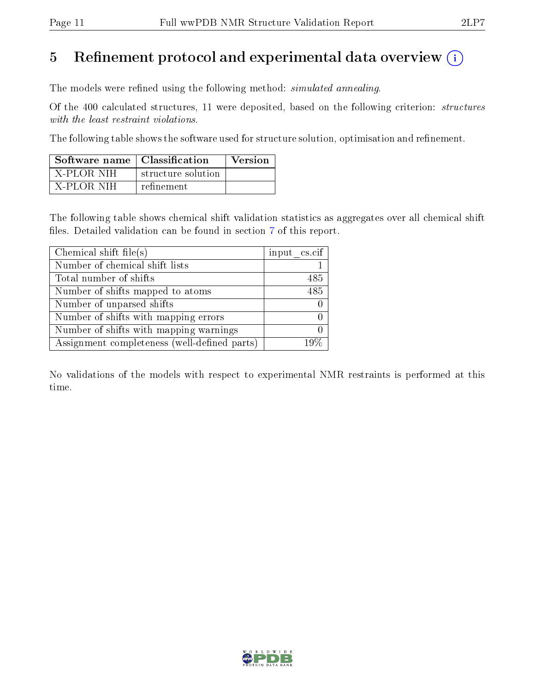## 5 Refinement protocol and experimental data overview  $\binom{1}{k}$

The models were refined using the following method: *simulated annealing*.

Of the 400 calculated structures, 11 were deposited, based on the following criterion: structures with the least restraint violations.

The following table shows the software used for structure solution, optimisation and refinement.

| Software name   Classification |                    | <b>Version</b> |
|--------------------------------|--------------------|----------------|
| - X-PLOR NIH                   | structure solution |                |
| - X-PLOR-NIH                   | refinement         |                |

The following table shows chemical shift validation statistics as aggregates over all chemical shift files. Detailed validation can be found in section [7](#page-22-0) of this report.

| Chemical shift file(s)                       | input cs.cif |
|----------------------------------------------|--------------|
| Number of chemical shift lists               |              |
| Total number of shifts                       | 485          |
| Number of shifts mapped to atoms             | 485          |
| Number of unparsed shifts                    |              |
| Number of shifts with mapping errors         |              |
| Number of shifts with mapping warnings       |              |
| Assignment completeness (well-defined parts) | $10\%$       |

No validations of the models with respect to experimental NMR restraints is performed at this time.

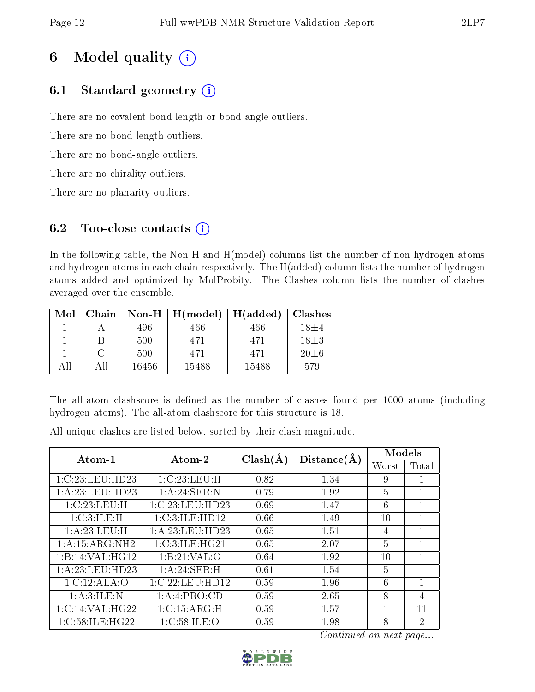# 6 Model quality  $(i)$

## 6.1 Standard geometry  $(i)$

There are no covalent bond-length or bond-angle outliers.

There are no bond-length outliers.

There are no bond-angle outliers.

There are no chirality outliers.

There are no planarity outliers.

## 6.2 Too-close contacts (i)

In the following table, the Non-H and H(model) columns list the number of non-hydrogen atoms and hydrogen atoms in each chain respectively. The H(added) column lists the number of hydrogen atoms added and optimized by MolProbity. The Clashes column lists the number of clashes averaged over the ensemble.

| Mol | Chain | $\bf Non-H$ | H (model) | H(added) | <b>Clashes</b> |
|-----|-------|-------------|-----------|----------|----------------|
|     |       | 496         | 466       | 466      | $18+4$         |
|     |       | 500         | 471       | 471      | $18\pm3$       |
|     |       | 500         | 471       | 471      | $20\pm 6$      |
| 4 H | ΔH    | 16456       | 15488     | 15488    | 579            |

The all-atom clashscore is defined as the number of clashes found per 1000 atoms (including hydrogen atoms). The all-atom clashscore for this structure is 18.

 $\begin{array}{|c|c|c|c|}\hline \text{Atom-1} & \text{Atom-2} & \text{Clash}(\text{\AA}) & \text{Distance}(\text{\AA}) & \text{Worst} & \text{Total} \end{array}$ Worst  $1:\text{C}:23:\text{LEU}:H\text{D}23 \begin{array}{|l} \text{1}:C:23:\text{LEU}:H \end{array} \begin{array}{|l} \text{1}:0.82 \end{array} \begin{array}{|l} \text{1}:34 \end{array} \begin{array}{|l} \text{1}:34 \end{array} \begin{array}{|l} \text{9} \end{array} \begin{array}{|l} \text{1}:1.34 \end{array}$ 1:A:23:LEU:HD23 1:A:24:SER:N 0.79 1.92 5 1 1:C:23:LEU:H | 1:C:23:LEU:HD23 | 0.69 | 1.47 | 6 | 1 1:C:3:ILE:H | 1:C:3:ILE:HD12 | 0.66 | 1.49 | 10 | 1 1:A:23:LEU:H | 1:A:23:LEU:HD23 | 0.65 | 1.51 | 4 | 1 1:A:15:ARG:NH2 1:C:3:ILE:HG21 0.65 2.07 5 1 1:B:14:VAL:HG12 | 1:B:21:VAL:O | 0.64 | 1.92 | 10 | 1 1:A:23:LEU:HD23 | 1:A:24:SER:H | 0.61 | 1.54 | 5 | 1 1:C:12:ALA:O | 1:C:22:LEU:HD12 | 0.59 | 1.96 | 6 | 1 1:A:3:ILE:N | 1:A:4:PRO:CD | 0.59 | 2.65 | 8 | 4 1:C:14:VAL:HG22 1:C:15:ARG:H 0.59 1.57 1 1 1:C:58:ILE:HG22 1:C:58:ILE:O 0.59 1.98 8 2

All unique clashes are listed below, sorted by their clash magnitude.

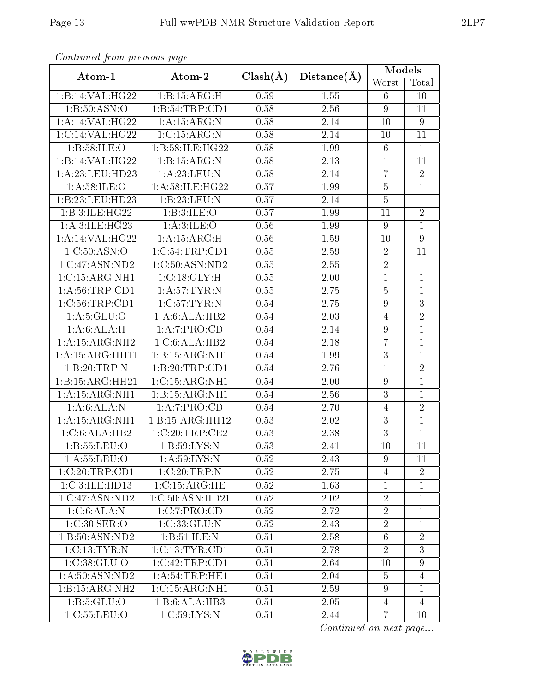| Continual from previous page |                  |              |             | Models           |                 |
|------------------------------|------------------|--------------|-------------|------------------|-----------------|
| Atom-1                       | Atom-2           | $Clash(\AA)$ | Distance(A) | Worst            | Total           |
| 1:B:14:VAL:HG22              | 1:B:15:ARG:H     | 0.59         | 1.55        | 6                | 10              |
| 1: B:50: ASN:O               | 1:B:54:TRP:CD1   | 0.58         | 2.56        | 9                | 11              |
| 1:A:14:VAL:HG22              | 1: A:15: ARG: N  | 0.58         | 2.14        | 10               | $9\phantom{.}$  |
| 1:C:14:VAL:HG22              | 1:C:15:ARG:N     | 0.58         | 2.14        | 10               | 11              |
| 1: B:58: ILE: O              | 1:B:58:ILE:HG22  | 0.58         | 1.99        | 6                | $\mathbf{1}$    |
| 1:B:14:VAL:HG22              | 1:B:15:ARG:N     | 0.58         | 2.13        | $\mathbf{1}$     | 11              |
| 1: A:23:LEU:HD23             | 1: A:23:LEU:N    | 0.58         | 2.14        | $\overline{7}$   | $\overline{2}$  |
| 1: A:58: ILE: O              | 1:A:58:ILE:HG22  | 0.57         | 1.99        | $\bf 5$          | $\overline{1}$  |
| 1:B:23:LEU:HD23              | 1:B:23:LEU:N     | 0.57         | 2.14        | $\overline{5}$   | $\overline{1}$  |
| $1:B:3:ILE:HG22$             | 1:B:3:ILE:O      | 0.57         | 1.99        | 11               | $\sqrt{2}$      |
| 1:A:3:ILE:HG23               | 1: A:3: ILE: O   | 0.56         | 1.99        | $\overline{9}$   | $\mathbf{1}$    |
| 1:A:14:VAL:HG22              | 1: A:15: ARG:H   | 0.56         | 1.59        | 10               | $\overline{9}$  |
| 1:C:50:ASN:O                 | 1:C:54:TRP:CD1   | 0.55         | 2.59        | $\overline{2}$   | 11              |
| 1:C:47:ASN:ND2               | 1:C:50:ASN:ND2   | 0.55         | 2.55        | $\sqrt{2}$       | $\mathbf{1}$    |
| 1:C:15:ARG:NH1               | 1:C:18:GLY:H     | 0.55         | 2.00        | $\mathbf{1}$     | $\mathbf{1}$    |
| 1: A:56:TRP:CD1              | 1: A:57:TYR:N    | 0.55         | 2.75        | $\bf 5$          | $\mathbf{1}$    |
| $1:C:56$ : TRP: CD1          | 1:C:57:TYR:N     | 0.54         | 2.75        | $\overline{9}$   | $\overline{3}$  |
| 1: A:5: GLU:O                | 1: A:6: ALA: HB2 | 0.54         | 2.03        | $\overline{4}$   | $\overline{2}$  |
| 1:A:6:ALA:H                  | 1:A:7:PRO:CD     | 0.54         | 2.14        | $\boldsymbol{9}$ | $\mathbf{1}$    |
| 1: A: 15: ARG: NH2           | 1:C:6:ALA:HB2    | 0.54         | 2.18        | $\overline{7}$   | $\mathbf{1}$    |
| 1:A:15:ARG:HH11              | 1:B:15:ARG:NH1   | 0.54         | 1.99        | $\overline{3}$   | $\mathbf{1}$    |
| 1:B:20:TRP:N                 | 1:B:20:TRP:CD1   | 0.54         | 2.76        | $\overline{1}$   | $\overline{2}$  |
| 1:B:15:ARG:HH21              | 1:C:15:ARG:NH1   | 0.54         | 2.00        | $\overline{9}$   | $\mathbf{1}$    |
| 1: A: 15: ARG: NH1           | 1:B:15:ARG:NH1   | 0.54         | 2.56        | $\overline{3}$   | $\mathbf{1}$    |
| 1:A:6:ALA:N                  | 1:A:7:PRO:CD     | 0.54         | 2.70        | $\overline{4}$   | $\overline{2}$  |
| 1: A: 15: ARG: NH1           | 1:B:15:ARG:HH12  | 0.53         | 2.02        | $\overline{3}$   | $\mathbf{1}$    |
| 1:C:6:ALA:HB2                | 1:C:20:TRP:CE2   | 0.53         | 2.38        | $\overline{3}$   | $\mathbf{1}$    |
| 1:B:55:LEU:O                 | 1:B:59:LYS:N     | 0.53         | 2.41        | 10               | $\overline{11}$ |
| 1: A: 55: LEU: O             | 1: A:59: LYS:N   | 0.52         | 2.43        | 9                | 11              |
| 1:C:20:TRP:CD1               | 1:C:20:TRP:N     | 0.52         | 2.75        | $\overline{4}$   | $\overline{2}$  |
| 1:C:3:ILE:HD13               | 1:C:15:ARG:HE    | 0.52         | 1.63        | $\mathbf{1}$     | $\mathbf{1}$    |
| 1:C:47:ASN:ND2               | 1:C:50:ASN:HD21  | 0.52         | 2.02        | $\overline{2}$   | $\mathbf{1}$    |
| 1:C:6:ALA:N                  | 1:C:7:PRO:CD     | 0.52         | 2.72        | $\sqrt{2}$       | 1               |
| 1:C:30:SER:O                 | 1:C:33:GLU:N     | 0.52         | 2.43        | $\overline{2}$   | $\mathbf{1}$    |
| 1:B:50:ASN:ND2               | 1:B:51:ILE:N     | 0.51         | 2.58        | $6\phantom{.}6$  | $\overline{2}$  |
| 1:C:13:TYR:N                 | 1:C:13:TYR:CD1   | 0.51         | 2.78        | $\overline{2}$   | 3               |
| 1: C:38: GLU:O               | 1:C:42:TRP:CD1   | 0.51         | 2.64        | 10               | 9               |
| 1: A:50: ASN:ND2             | 1: A:54:TRP:HE1  | 0.51         | 2.04        | $\overline{5}$   | $\overline{4}$  |
| 1:B:15:ARG:NH2               | 1:C:15:ARG:NH1   | 0.51         | 2.59        | 9                | $\mathbf{1}$    |
| 1: B: 5: GLU: O              | 1:B:6:ALA:HB3    | 0.51         | 2.05        | $\overline{4}$   | $\overline{4}$  |
| 1:C:55:LEU:O                 | 1:C:59:LYS:N     | 0.51         | 2.44        | $\overline{7}$   | 10              |

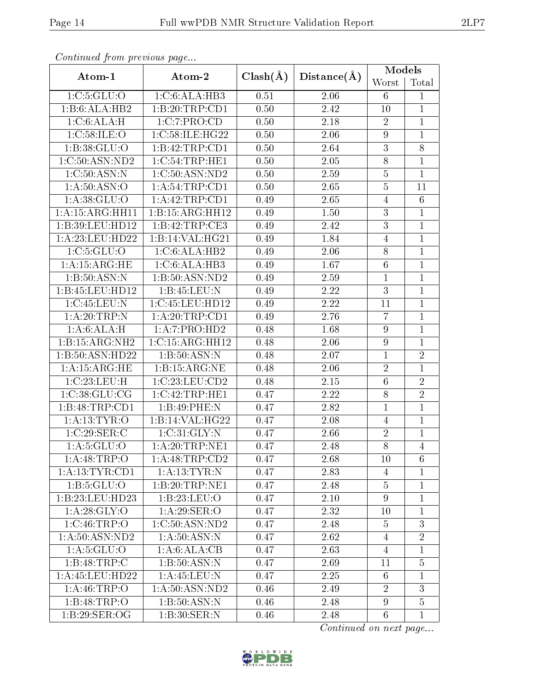| Continued from previous page |                        |      |             | Models           |                 |  |
|------------------------------|------------------------|------|-------------|------------------|-----------------|--|
| Atom-1                       | $Clash(\AA)$<br>Atom-2 |      | Distance(A) | Worst            | Total           |  |
| 1: C: 5: GLU: O              | 1:C:6:ALA:HB3          | 0.51 | 2.06        | 6                | $\mathbf{1}$    |  |
| 1:B:6:ALA:HB2                | 1:B:20:TRP:CD1         | 0.50 | 2.42        | 10               | $\mathbf{1}$    |  |
| 1: C:6: ALA:H                | 1:C:7:PRO:CD           | 0.50 | 2.18        | $\overline{2}$   | $\mathbf{1}$    |  |
| 1:C:58:ILE:O                 | 1:C:58:ILE:HG22        | 0.50 | 2.06        | $\boldsymbol{9}$ | $\mathbf{1}$    |  |
| 1:B:38:GLU:O                 | 1:B:42:TRP:CD1         | 0.50 | 2.64        | $\boldsymbol{3}$ | 8               |  |
| 1:C:50:ASN:ND2               | $1:C:54$ : TRP: HE $1$ | 0.50 | 2.05        | $8\,$            | $\mathbf{1}$    |  |
| 1:C:50:ASN:N                 | 1:C:50:ASN:ND2         | 0.50 | 2.59        | $\overline{5}$   | $\mathbf{1}$    |  |
| 1: A:50: ASN:O               | 1:A:54:TRP:CD1         | 0.50 | 2.65        | $\overline{5}$   | 11              |  |
| 1: A:38: GLU:O               | 1:A:42:TRP:CD1         | 0.49 | 2.65        | $\overline{4}$   | $6\phantom{.}6$ |  |
| 1:A:15:ARG:HH11              | 1:B:15:ARG:HH12        | 0.49 | 1.50        | $\boldsymbol{3}$ | 1               |  |
| 1:B:39:LEU:HD12              | 1:B:42:TRP:CE3         | 0.49 | 2.42        | $\overline{3}$   | $\mathbf{1}$    |  |
| 1: A:23:LEU:HD22             | 1:B:14:VAL:HG21        | 0.49 | 1.84        | $\overline{4}$   | $\mathbf{1}$    |  |
| 1: C: 5: GLU: O              | 1:C:6:ALA:HB2          | 0.49 | 2.06        | 8                | $\mathbf{1}$    |  |
| 1: A:15: ARG: HE             | 1:C:6:ALA:HB3          | 0.49 | 1.67        | $\,6$            | $\mathbf{1}$    |  |
| 1: B: 50: ASN: N             | 1:B:50:ASN:ND2         | 0.49 | 2.59        | $\mathbf{1}$     | $\mathbf{1}$    |  |
| 1:B:45:LEU:HDI2              | 1: B:45:LEU:N          | 0.49 | 2.22        | $\overline{3}$   | $\mathbf{1}$    |  |
| 1:C:45:LEU:N                 | 1:C:45:LEU:HD12        | 0.49 | 2.22        | 11               | $\mathbf{1}$    |  |
| 1:A:20:TRP:N                 | 1:A:20:TRP:CD1         | 0.49 | 2.76        | $\overline{7}$   | $\mathbf{1}$    |  |
| 1:A:6:ALA:H                  | 1:A:7:PRO:HD2          | 0.48 | 1.68        | 9                | $\mathbf 1$     |  |
| 1:B:15:ARG:NH2               | 1:C:15:ARG:HH12        | 0.48 | 2.06        | $\boldsymbol{9}$ | $\mathbf{1}$    |  |
| 1:B:50:ASN:HD22              | 1:B:50:ASN:N           | 0.48 | 2.07        | $\mathbf{1}$     | $\overline{2}$  |  |
| 1: A:15: ARG: HE             | 1:B:15:ARG:NE          | 0.48 | 2.06        | $\sqrt{2}$       | $\mathbf{1}$    |  |
| 1:C:23:LEU:H                 | 1:C:23:LEU:CD2         | 0.48 | $2.15\,$    | $\overline{6}$   | $\overline{2}$  |  |
| 1:C:38:GLU:CG                | 1:C:42:TRP:HE1         | 0.47 | 2.22        | 8                | $\overline{2}$  |  |
| 1:B:48:TRP:CD1               | 1:B:49:PHE:N           | 0.47 | 2.82        | $\mathbf 1$      | $\mathbf{1}$    |  |
| 1: A: 13: TYR: O             | 1:B:14:VAL:HG22        | 0.47 | 2.08        | $\overline{4}$   | $\mathbf{1}$    |  |
| 1:C:29:SER:C                 | 1:C:31:GLY:N           | 0.47 | 2.66        | $\sqrt{2}$       | $\mathbf{1}$    |  |
| 1: A:5: GLU:O                | 1: A:20:TRP:NE1        | 0.47 | 2.48        | $\overline{8}$   | $\overline{4}$  |  |
| 1: A: 48: TRP:O              | 1: A: 48: TRP: CD2     | 0.47 | 2.68        | 10               | 6               |  |
| 1: A: 13: TYR: CD1           | 1: A: 13: TYR: N       | 0.47 | 2.83        | 4                | $\mathbf{1}$    |  |
| 1: B: 5: GLU: O              | 1:B:20:TRP:NE1         | 0.47 | 2.48        | $\overline{5}$   | $\mathbf{1}$    |  |
| 1:B:23:LEU:HD23              | 1:B:23:LEU:O           | 0.47 | 2.10        | 9                | $\mathbf{1}$    |  |
| 1: A:28: GLY:O               | 1: A:29: SER: O        | 0.47 | 2.32        | 10               | $\mathbf{1}$    |  |
| 1:C:46:TRP:O                 | 1:C:50:ASN:ND2         | 0.47 | 2.48        | $\overline{5}$   | 3               |  |
| 1: A:50: ASN:ND2             | 1: A:50: ASN: N        | 0.47 | 2.62        | $\overline{4}$   | $\overline{2}$  |  |
| 1: A:5: GLU:O                | 1: A:6: ALA: CB        | 0.47 | 2.63        | $\overline{4}$   | $\mathbf{1}$    |  |
| 1:B:48:TRP:C                 | 1:B:50:ASN:N           | 0.47 | 2.69        | 11               | $\overline{5}$  |  |
| 1: A: 45: LEU: HD22          | 1:A:45:LEU:N           | 0.47 | 2.25        | 6                | 1               |  |
| 1: A:46:TRP:O                | 1: A:50: ASN: ND2      | 0.46 | 2.49        | $\overline{2}$   | 3               |  |
| 1:B:48:TRP:O                 | 1: B:50: ASN:N         | 0.46 | 2.48        | 9                | $\overline{5}$  |  |
| 1:B:29:SER:OG                | 1:B:30:SER:N           | 0.46 | 2.48        | $6\phantom{.}6$  | $\mathbf{1}$    |  |

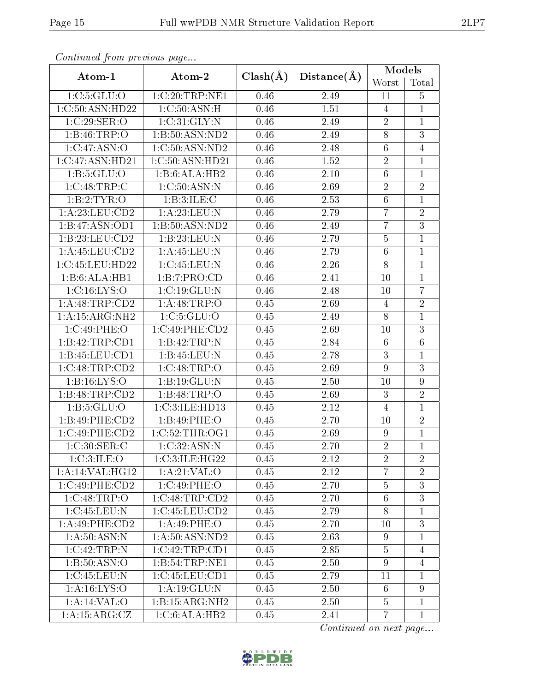| Continuation providus page |                                    |              |                 | Models           |                |
|----------------------------|------------------------------------|--------------|-----------------|------------------|----------------|
| Atom-1                     | Atom-2                             | $Clash(\AA)$ | $Distance(\AA)$ | Worst            | Total          |
| 1: C: 5: GLU: O            | 1:C:20:TRP:NE1                     | 0.46         | 2.49            | 11               | $\overline{5}$ |
| 1:C:50:ASN:HD22            | 1:C:50:ASN:H                       | 0.46         | 1.51            | $\overline{4}$   | $\mathbf{1}$   |
| 1:C:29:SER:O               | 1:C:31:GLY:N                       | 0.46         | 2.49            | $\sqrt{2}$       | $\overline{1}$ |
| 1:B:46:TRP:O               | 1: B: 50: ASN: ND2                 | 0.46         | 2.49            | $\overline{8}$   | $\overline{3}$ |
| 1:C:47:ASN:O               | 1:C:50:ASN:ND2                     | 0.46         | 2.48            | $\,6$            | $\overline{4}$ |
| 1:C:47:ASN:HD21            | 1:C:50:ASN:HD21                    | 0.46         | 1.52            | $\overline{2}$   | $\mathbf{1}$   |
| 1: B: 5: GLU: O            | 1:B:6:ALA:HB2                      | 0.46         | 2.10            | $\overline{6}$   | $\overline{1}$ |
| 1:C:48:TRP:C               | 1:C:50:ASN:N                       | 0.46         | 2.69            | $\sqrt{2}$       | $\overline{2}$ |
| 1:B:2:TYR:O                | 1:B:3:ILE:C                        | 0.46         | 2.53            | $\overline{6}$   | $\overline{1}$ |
| 1: A:23: LEU:CD2           | 1: A:23: LEU: N                    | 0.46         | 2.79            | $\overline{7}$   | $\overline{2}$ |
| 1:B:47:ASN:OD1             | 1:B:50:ASN:ND2                     | 0.46         | 2.49            | $\overline{7}$   | $\overline{3}$ |
| 1:B:23:LEU:CD2             | 1:B:23:LEU:N                       | 0.46         | 2.79            | $\bf 5$          | $\overline{1}$ |
| 1:A:45:LEU:CD2             | 1: A: 45: LEU: N                   | 0.46         | 2.79            | $\,6$            | $\overline{1}$ |
| 1:C:45:LEU:HD22            | 1:C:45:LEU:N                       | 0.46         | 2.26            | $\overline{8}$   | $\mathbf{1}$   |
| 1:B:6:ALA:HB1              | 1:B:7:PRO:CD                       | 0.46         | 2.41            | 10               | $\mathbf{1}$   |
| 1:C:16:LYS:O               | 1:C:19:GLU:N                       | 0.46         | 2.48            | 10               | $\overline{7}$ |
| 1: A:48:TRP:CD2            | 1: A:48:TRP:O                      | 0.45         | 2.69            | $\overline{4}$   | $\overline{2}$ |
| 1:A:15:ARG:NH2             | 1:C:5:GLU:O                        | 0.45         | 2.49            | $\overline{8}$   | $\overline{1}$ |
| 1:C:49:PHE:O               | $1:C:49:P\overline{\text{HE:CD2}}$ | 0.45         | 2.69            | 10               | $\overline{3}$ |
| 1:B:42:TRP:CD1             | 1:B:42:TRP:N                       | 0.45         | 2.84            | $\,6\,$          | $\overline{6}$ |
| 1:B:45:LEU:CD1             | 1:B:45:LEU:N                       | 0.45         | 2.78            | $\overline{3}$   | $\mathbf{1}$   |
| 1:C:48:TRP:CD2             | 1:C:48:TRP:O                       | 0.45         | 2.69            | 9                | $\overline{3}$ |
| 1: B: 16: LYS: O           | 1:B:19:GLU:N                       | 0.45         | 2.50            | 10               | 9              |
| 1:B:48:TRP:CD2             | 1:B:48:TRP:O                       | 0.45         | 2.69            | 3                | $\overline{2}$ |
| 1: B: 5: GLU: O            | 1:C:3:ILE:HD13                     | 0.45         | 2.12            | $\overline{4}$   | $\mathbf{1}$   |
| 1:B:49:PHE:CD2             | 1:B:49:PHE:O                       | 0.45         | 2.70            | 10               | $\overline{2}$ |
| 1:C:49:PHE:CD2             | 1:C:52:THR:OG1                     | 0.45         | 2.69            | 9                | $\overline{1}$ |
| 1:C:30:SER:C               | 1:C:32:ASN:N                       | 0.45         | 2.70            | $\overline{2}$   | $\overline{1}$ |
| 1:C:3:ILE:O                | 1:C:3:ILE:HG22                     | 0.45         | 2.12            | $\overline{2}$   | $\overline{2}$ |
| 1:A:14:VAL:HG12            | 1: A:21:VAL:O                      | 0.45         | 2.12            | $\overline{7}$   | $\overline{2}$ |
| 1:C:49:PHE:CD2             | 1:C:49:PHE:O                       | 0.45         | 2.70            | $\bf 5$          | $\overline{3}$ |
| 1:C:48:TRP:O               | 1:C:48:TRP:CD2                     | 0.45         | 2.70            | $\sqrt{6}$       | $\overline{3}$ |
| 1:C:45:LEU:N               | 1:C:45:LEU:CD2                     | 0.45         | 2.79            | $8\,$            | $\mathbf{1}$   |
| 1:A:49:PHE:CD2             | 1:A:49:PHE:O                       | 0.45         | 2.70            | 10               | 3              |
| 1: A:50: ASN: N            | 1: A:50: ASN:ND2                   | 0.45         | 2.63            | 9                | $\mathbf{1}$   |
| $1:C:42$ : TRP:N           | 1:C:42:TRP:CD1                     | 0.45         | 2.85            | $\overline{5}$   | $\overline{4}$ |
| 1: B:50: ASN:O             | 1:B:54:TRP:NE1                     | 0.45         | 2.50            | $\boldsymbol{9}$ | $\overline{4}$ |
| 1:C:45:LEU:N               | 1:C:45:LEU:CD1                     | 0.45         | 2.79            | 11               | 1              |
| 1: A:16: LYS:O             | 1:A:19:GLU:N                       | 0.45         | 2.50            | $6\phantom{.}6$  | $9\phantom{.}$ |
| 1:A:14:VAL:O               | 1:B:15:ARG:NH2                     | 0.45         | 2.50            | $\bf 5$          | $\mathbf{1}$   |
| 1: A:15: ARG: CZ           | 1:C:6:ALA:HB2                      | 0.45         | 2.41            | $\overline{7}$   | $\mathbf{1}$   |

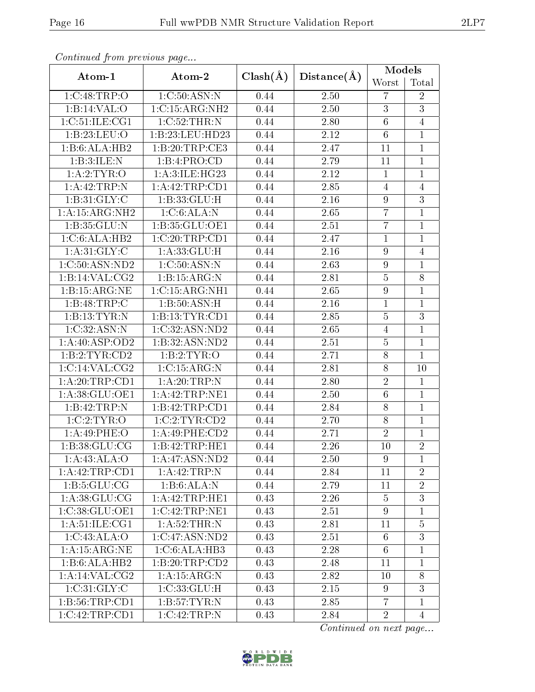| Continuata from previous page |                    |                             |      | <b>Models</b>    |                |
|-------------------------------|--------------------|-----------------------------|------|------------------|----------------|
| Atom-1                        | Atom-2             | $Clash(\AA)$<br>Distance(A) |      | Worst            | Total          |
| 1:C:48:TRP:O                  | 1:C:50:ASN:N       | 0.44                        | 2.50 | $\overline{7}$   | $\overline{2}$ |
| 1:B:14:VAL:O                  | 1:C:15:ARG:NH2     | 0.44                        | 2.50 | 3                | $\overline{3}$ |
| 1:C:51:ILE:CG1                | 1:C:52:THR:N       | 0.44                        | 2.80 | $6\phantom{.}6$  | $\overline{4}$ |
| 1:B:23:LEU:O                  | 1:B:23:LEU:HD23    | 0.44                        | 2.12 | $6\phantom{.}6$  | $\mathbf{1}$   |
| 1:B:6:ALA:HB2                 | 1:B:20:TRP:CE3     | 0.44                        | 2.47 | 11               | $\mathbf{1}$   |
| 1:B:3:ILE:N                   | 1:B:4:PRO:CD       | 0.44                        | 2.79 | 11               | $\mathbf{1}$   |
| 1:A:2:TYR:O                   | 1: A:3: ILE: HG23  | 0.44                        | 2.12 | $\mathbf{1}$     | $\mathbf{1}$   |
| 1:A:42:TRP:N                  | 1:A:42:TRP:CD1     | 0.44                        | 2.85 | $\overline{4}$   | $\overline{4}$ |
| 1:B:31:GLY:C                  | 1:B:33:GLU:H       | 0.44                        | 2.16 | $\overline{9}$   | $\overline{3}$ |
| 1:A:15:ARG:NH2                | 1:C:6:ALA:N        | 0.44                        | 2.65 | $\overline{7}$   | $\mathbf{1}$   |
| 1: B:35: GLU:N                | 1: B: 35: GLU: OE1 | 0.44                        | 2.51 | $\overline{7}$   | $\mathbf{1}$   |
| 1:C:6:ALA:HB2                 | 1:C:20:TRP:CD1     | 0.44                        | 2.47 | $\mathbf{1}$     | $\mathbf{1}$   |
| 1: A:31: GLY: C               | 1:A:33:GLU:H       | 0.44                        | 2.16 | $\overline{9}$   | $\overline{4}$ |
| 1:C:50:ASN:ND2                | 1:C:50:ASN:N       | 0.44                        | 2.63 | $\boldsymbol{9}$ | $\mathbf{1}$   |
| 1:B:14:VAL:CG2                | 1:B:15:ARG:N       | 0.44                        | 2.81 | $\overline{5}$   | 8              |
| 1:B:15:ARG:NE                 | 1:C:15:ARG:NH1     | 0.44                        | 2.65 | $\overline{9}$   | $\mathbf{1}$   |
| 1:B:48:TRP:C                  | 1:B:50:ASN:H       | 0.44                        | 2.16 | $\mathbf{1}$     | $\mathbf{1}$   |
| 1:B:13:TYR:N                  | 1:B:13:TYR:CD1     | 0.44                        | 2.85 | $\overline{5}$   | $\overline{3}$ |
| 1:C:32:ASN:N                  | 1:C:32:ASN:ND2     | 0.44                        | 2.65 | $\overline{4}$   | $\mathbf{1}$   |
| 1:A:40:ASP:OD2                | 1:B:32:ASN:ND2     | 0.44                        | 2.51 | $\overline{5}$   | $\mathbf{1}$   |
| 1:B:2:TYR:CD2                 | 1: B: 2: TYR: O    | 0.44                        | 2.71 | 8                | $\mathbf{1}$   |
| 1:C:14:VAL:CG2                | 1:C:15:ARG:N       | 0.44                        | 2.81 | 8                | 10             |
| 1: A:20:TRP:CD1               | 1:A:20:TRP:N       | 0.44                        | 2.80 | $\overline{2}$   | $\mathbf{1}$   |
| 1:A:38:GLU:OE1                | 1:A:42:TRP:NE1     | 0.44                        | 2.50 | $6\phantom{.}6$  | $\mathbf{1}$   |
| 1:B:42:TRP:N                  | 1:B:42:TRP:CD1     | 0.44                        | 2.84 | $8\,$            | $\overline{1}$ |
| 1:C:2:TYR:O                   | 1:C:2:TYR:CD2      | 0.44                        | 2.70 | $\overline{8}$   | $\overline{1}$ |
| 1:A:49:PHE:O                  | 1: A:49: PHE:CD2   | 0.44                        | 2.71 | $\overline{2}$   | 1              |
| 1: B:38: GLU:CG               | 1:B:42:TRP:HE1     | 0.44                        | 2.26 | 10               | $\overline{2}$ |
| 1: A:43: ALA:O                | 1: A:47: ASN:ND2   | 0.44                        | 2.50 | 9                | $\mathbf{1}$   |
| 1: A:42:TRP:CD1               | 1:A:42:TRP:N       | 0.44                        | 2.84 | 11               | $\overline{2}$ |
| 1: B:5: GLU: CG               | 1:B:6:ALA:N        | 0.44                        | 2.79 | 11               | $\sqrt{2}$     |
| 1: A:38: GLU:CG               | 1:A:42:TRP:HE1     | 0.43                        | 2.26 | $\overline{5}$   | 3              |
| 1:C:38:GLU:OE1                | 1:C:42:TRP:NE1     | 0.43                        | 2.51 | 9                | $\mathbf{1}$   |
| 1: A:51: ILE: CG1             | 1: A:52:THR:N      | 0.43                        | 2.81 | 11               | $\overline{5}$ |
| 1:C:43:ALA:O                  | 1:C:47:ASN:ND2     | 0.43                        | 2.51 | 6                | $\overline{3}$ |
| 1: A:15: ARG:NE               | 1:C:6:ALA:HB3      | 0.43                        | 2.28 | $6\phantom{.}6$  | $\mathbf{1}$   |
| 1:B:6:ALA:HB2                 | 1:B:20:TRP:CD2     | 0.43                        | 2.48 | 11               | 1              |
| 1:A:14:VAL:CG2                | 1: A:15: ARG: N    | 0.43                        | 2.82 | 10               | 8              |
| 1:C:31:GLY:C                  | 1:C:33:GLU:H       | 0.43                        | 2.15 | 9                | 3              |
| 1:B:56:TRP:CD1                | 1: B: 57: TYR:N    | 0.43                        | 2.85 | $\overline{7}$   | $\mathbf{1}$   |
| 1:C:42:TRP:CD1                | 1:C:42:TRP:N       | 0.43                        | 2.84 | $\overline{2}$   | $\overline{4}$ |

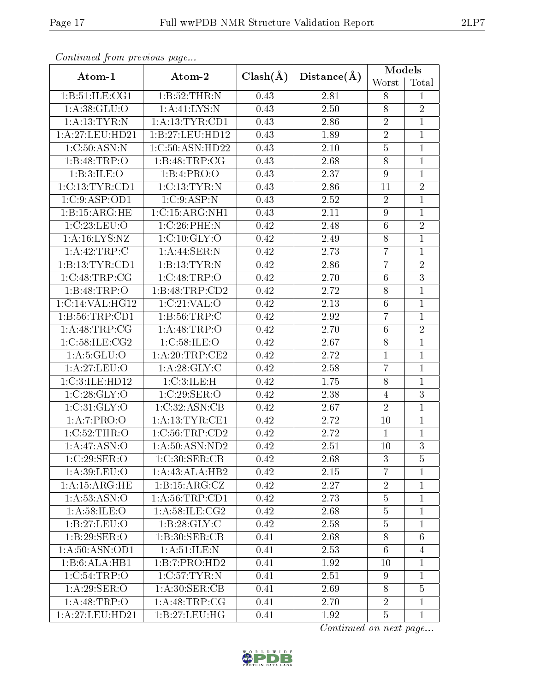| Continuation providus page |                                  |              |             | Models           |                 |
|----------------------------|----------------------------------|--------------|-------------|------------------|-----------------|
| Atom-1                     | Atom-2                           | $Clash(\AA)$ | Distance(A) | Worst            | Total           |
| 1: B:51: ILE: CG1          | 1:B:52:THR:N                     | 0.43         | 2.81        | 8                | $\mathbf{1}$    |
| 1: A:38: GLU:O             | 1: A:41:LYS:N                    | 0.43         | 2.50        | $8\,$            | $\overline{2}$  |
| 1:A:13:TYR:N               | 1:A:13:TYR:CD1                   | 0.43         | 2.86        | $\sqrt{2}$       | $\overline{1}$  |
| 1: A:27:LEU:HD21           | 1:B:27:LEU:HD12                  | 0.43         | 1.89        | $\overline{2}$   | $\overline{1}$  |
| 1:C:50:ASN:N               | 1:C:50:ASN:HD22                  | 0.43         | 2.10        | $\overline{5}$   | $\mathbf{1}$    |
| 1:B:48:TRP:O               | 1: B:48:TRP:CG                   | 0.43         | 2.68        | $\overline{8}$   | $\mathbf{1}$    |
| 1:B:3:ILE:O                | 1:B:4:PRO:O                      | 0.43         | 2.37        | 9                | $\overline{1}$  |
| 1:C:13:TYR:CD1             | 1:C:13:TYR:N                     | 0.43         | 2.86        | 11               | $\overline{2}$  |
| 1:C:9:ASP:OD1              | 1:C:9:ASP:N                      | 0.43         | 2.52        | $\overline{2}$   | $\overline{1}$  |
| 1:B:15:ARG:HE              | 1:C:15:ARG:NH1                   | 0.43         | 2.11        | $\boldsymbol{9}$ | $\mathbf 1$     |
| 1:C:23:LEU:O               | 1:C:26:PHE:N                     | 0.42         | 2.48        | $\overline{6}$   | $\overline{2}$  |
| 1: A: 16: LYS: NZ          | 1:C:10:GLY:O                     | 0.42         | 2.49        | $\,8\,$          | $\overline{1}$  |
| 1:A:42:TRP:C               | 1:A:44:SER:N                     | 0.42         | 2.73        | $\overline{7}$   | $\mathbf{1}$    |
| 1:B:13:TYR:CD1             | 1:B:13:TYR:N                     | 0.42         | 2.86        | $\overline{7}$   | $\overline{2}$  |
| 1:C:48:TRP:CG              | 1:C:48:TRP:O                     | 0.42         | 2.70        | $6\phantom{.}6$  | $\overline{3}$  |
| 1:B:48:TRP:O               | 1:B:48:TRP:CD2                   | 0.42         | 2.72        | $\overline{8}$   | $\overline{1}$  |
| 1:C:14:VAL:HG12            | 1:C:21:VAL:O                     | 0.42         | 2.13        | $\overline{6}$   | $\overline{1}$  |
| 1: B:56:TRP:CD1            | 1:B:56:TRP:C                     | 0.42         | 2.92        | $\overline{7}$   | $\overline{1}$  |
| 1:A:48:TRP:CG              | 1:A:48:TRP:O                     | 0.42         | 2.70        | $6\phantom{.}6$  | $\overline{2}$  |
| 1:C:58:ILE:CG2             | 1:C:58:ILE:O                     | 0.42         | 2.67        | $8\,$            | $\mathbf{1}$    |
| 1: A:5: GLU:O              | 1: A:20:TRP:CE2                  | 0.42         | 2.72        | $\mathbf{1}$     | $\mathbf{1}$    |
| 1:A:27:LEU:O               | 1: A:28: GLY: C                  | 0.42         | 2.58        | $\overline{7}$   | $\overline{1}$  |
| 1:C:3:ILE:HD12             | 1:C:3:ILE:H                      | 0.42         | 1.75        | $\overline{8}$   | $\mathbf{1}$    |
| 1:C:28:GLY:O               | 1:C:29:SER:O                     | 0.42         | 2.38        | $\overline{4}$   | $\overline{3}$  |
| 1:C:31:GLY:O               | 1:C:32:ASN:CB                    | 0.42         | 2.67        | $\overline{2}$   | $\mathbf{1}$    |
| 1:A:7:PRO:O                | 1: A: 13: TYR: CE1               | 0.42         | 2.72        | 10               | $\overline{1}$  |
| 1:C:52:THR:O               | 1:C:56:TRP:CD2                   | 0.42         | 2.72        | $\mathbf{1}$     | $\mathbf{1}$    |
| 1:A:47:ASN:O               | 1: A:50: ASN:ND2                 | 0.42         | 2.51        | 10               | $\overline{3}$  |
| 1:C:29:SER:O               | 1:C:30:SER:CB                    | 0.42         | 2.68        | 3                | $\overline{5}$  |
| 1:A:39:LEU:O               | 1:A:43:ALA:HB2                   | 0.42         | 2.15        | $\overline{7}$   | 1               |
| 1: A:15: ARG: HE           | 1:B:15:ARG:CZ                    | 0.42         | 2.27        | $\sqrt{2}$       | $\mathbf{1}$    |
| 1: A: 53: ASN: O           | 1: A:56:TRP:CD1                  | 0.42         | 2.73        | $\overline{5}$   | $\mathbf{1}$    |
| 1: A:58: ILE: O            | 1: A:58: ILE: CG2                | 0.42         | 2.68        | $\overline{5}$   | $\mathbf{1}$    |
| 1:B:27:LEU:O               | 1: B:28: GLY: C                  | 0.42         | 2.58        | $\overline{5}$   | $\mathbf{1}$    |
| 1:B:29:SER:O               | 1:B:30:SER:CB                    | 0.41         | 2.68        | $8\,$            | $6\phantom{.}6$ |
| 1: A:50: ASN:OD1           | 1: A:51: ILE:N                   | 0.41         | 2.53        | $6\phantom{.}6$  | $\overline{4}$  |
| $1:B:6:ALA:\overline{HB1}$ | 1:B:7:PRO:HD2                    | 0.41         | 1.92        | 10               | $\mathbf{1}$    |
| 1:C:54:TRP:O               | $1:C:57:\overline{\text{TYR}:N}$ | 0.41         | 2.51        | 9                | $\mathbf{1}$    |
| 1: A:29: SER:O             | 1: A:30: SER:CB                  | 0.41         | 2.69        | $8\,$            | $\overline{5}$  |
| 1: A: 48: TRP:O            | 1: A:48:TRP:CG                   | 0.41         | 2.70        | $\sqrt{2}$       | $\mathbf{1}$    |
| 1: A:27:LEU:HD21           | 1:B:27:LEU:HG                    | 0.41         | 1.92        | $\overline{5}$   | $\mathbf{1}$    |

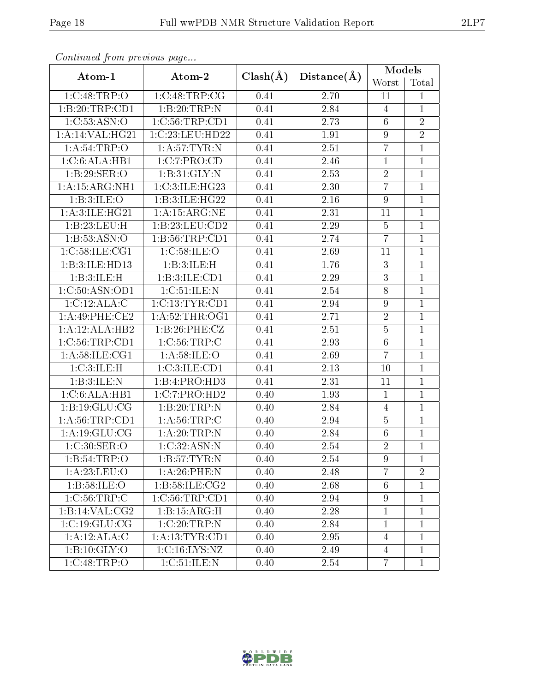| o o hoohowca jierro piecolo do pago |                    |              |             | Models           |                |
|-------------------------------------|--------------------|--------------|-------------|------------------|----------------|
| Atom-1                              | Atom-2             | $Clash(\AA)$ | Distance(A) | Worst            | Total          |
| 1:C:48:TRP:O                        | 1:C:48:TRP:CG      | 0.41         | 2.70        | 11               | $\mathbf{1}$   |
| 1:B:20:TRP:CD1                      | 1:B:20:TRP:N       | 0.41         | 2.84        | $\overline{4}$   | $\mathbf{1}$   |
| 1:C:53:ASN:O                        | 1:C:56:TRP:CD1     | 0.41         | 2.73        | $6\phantom{.}6$  | $\overline{2}$ |
| 1:A:14:VAL:HG21                     | 1:C:23:LEU:HD22    | 0.41         | 1.91        | $\boldsymbol{9}$ | $\overline{2}$ |
| 1: A:54:TRP:O                       | 1: A:57:TYR:N      | 0.41         | 2.51        | $\overline{7}$   | $\mathbf{1}$   |
| 1:C:6:ALA:HB1                       | 1:C:7:PRO:CD       | 0.41         | 2.46        | $\mathbf{1}$     | $\mathbf{1}$   |
| 1:B:29:SER:O                        | 1:B:31:GLY:N       | 0.41         | 2.53        | $\overline{2}$   | $\mathbf{1}$   |
| 1: A: 15: ARG: NH1                  | 1:C:3:ILE:HG23     | 0.41         | 2.30        | $\overline{7}$   | $\mathbf{1}$   |
| 1:B:3:ILE:O                         | 1:B:3:ILE:HG22     | 0.41         | 2.16        | 9                | $\overline{1}$ |
| 1: A:3: ILE: HG21                   | 1: A: 15: ARG: NE  | 0.41         | 2.31        | 11               | $\mathbf{1}$   |
| 1:B:23:LEU:H                        | 1:B:23:LEU:CD2     | 0.41         | 2.29        | $\overline{5}$   | $\overline{1}$ |
| 1: B: 53: ASN:O                     | 1:B:56:TRP:CD1     | 0.41         | 2.74        | $\overline{7}$   | $\mathbf{1}$   |
| 1:C:58:ILE:CGI                      | 1:C:58:ILE:O       | 0.41         | 2.69        | 11               | $\mathbf{1}$   |
| 1:B:3:ILE:HD13                      | 1:B:3:ILE:H        | 0.41         | 1.76        | $\mathfrak{Z}$   | $\mathbf{1}$   |
| 1:B:3:ILE:H                         | 1:B:3:ILE:CD1      | 0.41         | 2.29        | 3                | $\mathbf{1}$   |
| 1:C:50:ASN:OD1                      | 1:C:51:ILE:N       | 0.41         | 2.54        | $\overline{8}$   | $\overline{1}$ |
| 1:C:12:ALA:C                        | 1: C: 13: TYR: CD1 | 0.41         | 2.94        | 9                | $\mathbf{1}$   |
| $1: A:49:$ PHE:CE2                  | 1:A:52:THR:OG1     | 0.41         | 2.71        | $\sqrt{2}$       | $\mathbf{1}$   |
| 1:A:12:ALA:HB2                      | 1:B:26:PHE:CZ      | 0.41         | 2.51        | $\bf 5$          | $\mathbf{1}$   |
| 1:C:56:TRP:CD1                      | 1: C: 56: TRP:C    | 0.41         | 2.93        | $6\phantom{.}6$  | $\mathbf{1}$   |
| 1: A:58: ILE:CG1                    | 1: A:58: ILE: O    | 0.41         | 2.69        | $\overline{7}$   | $\overline{1}$ |
| 1:C:3:ILE:H                         | 1:C:3:ILE:CD1      | 0.41         | 2.13        | 10               | $\mathbf{1}$   |
| 1: B:3: ILE:N                       | 1:B:4:PRO:HD3      | 0.41         | 2.31        | 11               | $\mathbf{1}$   |
| 1:C:6:ALA:HB1                       | 1:C:7:PRO:HD2      | 0.40         | 1.93        | $\mathbf{1}$     | $\mathbf{1}$   |
| 1:B:19:GLU:CG                       | 1:B:20:TRP:N       | 0.40         | 2.84        | $\overline{4}$   | $\mathbf{1}$   |
| 1: A:56:TRP:CD1                     | 1: A:56:TRP:C      | 0.40         | 2.94        | $\overline{5}$   | $\mathbf{1}$   |
| 1:A:19:GLU:CG                       | 1:A:20:TRP:N       | 0.40         | 2.84        | $\,6$            | $\mathbf 1$    |
| 1:C:30:SER:O                        | 1:C:32:ASN:N       | 0.40         | 2.54        | $\overline{2}$   | $\overline{1}$ |
| 1:B:54:TRP:O                        | 1: B: 57: TYR:N    | 0.40         | 2.54        | 9                | $\mathbf{1}$   |
| 1: A:23: LEU:O                      | 1: A:26:PHE:N      | 0.40         | 2.48        | $\overline{7}$   | $\overline{2}$ |
| 1: B:58: ILE: O                     | 1: B:58: ILE: CG2  | 0.40         | 2.68        | $6\phantom{.}6$  | $\mathbf{1}$   |
| 1:C:56:TRP:C                        | 1:C:56:TRP:CD1     | 0.40         | 2.94        | $\overline{9}$   | $\mathbf{1}$   |
| 1:B:14:VAL:CG2                      | 1:B:15:ARG:H       | 0.40         | 2.28        | $\mathbf{1}$     | $\mathbf{1}$   |
| 1:C:19:GLU:CG                       | 1:C:20:TRP:N       | 0.40         | 2.84        | $\mathbf{1}$     | $\mathbf{1}$   |
| 1:A:12:ALA:C                        | 1: A: 13: TYR: CD1 | 0.40         | 2.95        | $\overline{4}$   | $\mathbf{1}$   |
| 1:B:10:GLY:O                        | 1:C:16:LYS:NZ      | 0.40         | 2.49        | 4                | $\mathbf{1}$   |
| 1:C:48:TRP:O                        | 1:C:51:ILE:N       | 0.40         | 2.54        | $\overline{7}$   | $\mathbf{1}$   |

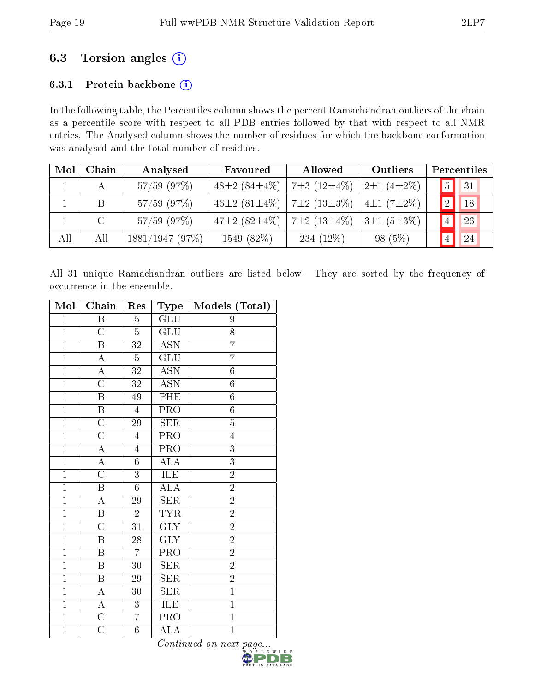## 6.3 Torsion angles  $(i)$

## 6.3.1 Protein backbone (i)

In the following table, the Percentiles column shows the percent Ramachandran outliers of the chain as a percentile score with respect to all PDB entries followed by that with respect to all NMR entries. The Analysed column shows the number of residues for which the backbone conformation was analysed and the total number of residues.

| Mol | Chain   | Analysed       | Favoured                                             | Allowed           | Outliers               | Percentiles     |            |
|-----|---------|----------------|------------------------------------------------------|-------------------|------------------------|-----------------|------------|
|     |         | $57/59$ (97\%) | 48 $\pm 2$ (84 $\pm$ 4\%)                            | $7\pm3(12\pm4\%)$ | $12 \pm 1 (4 \pm 2\%)$ | 5               | $\vert$ 31 |
|     | B       | $57/59$ (97\%) | 46 $\pm$ 2 (81 $\pm$ 4\%)   7 $\pm$ 2 (13 $\pm$ 3\%) |                   | $4\pm1(7\pm2\%)$       | 2 <sup>1</sup>  | $\vert$ 18 |
|     | $\rm C$ | $57/59$ (97%)  | 47±2 (82±4\%)   7±2 (13±4\%)                         |                   | $3\pm1(5\pm3\%)$       | $\vert 4 \vert$ | 26         |
| All | All     | 1881/1947(97%) | 1549(82%)                                            | 234 $(12\%)$      | $98(5\%)$              |                 | 24         |

All 31 unique Ramachandran outliers are listed below. They are sorted by the frequency of occurrence in the ensemble.

| Mol            | Chain                   | Res             | <b>Type</b>               | Models (Total)   |
|----------------|-------------------------|-----------------|---------------------------|------------------|
| $\mathbf{1}$   | $\overline{\mathrm{B}}$ | $\overline{5}$  | GLU                       | 9                |
| $\overline{1}$ | $\overline{\rm C}$      | $\overline{5}$  | $\overline{\text{GLU}}$   | 8                |
| $\overline{1}$ | $\overline{\mathrm{B}}$ | $\overline{32}$ | <b>ASN</b>                | $\overline{7}$   |
| $\overline{1}$ | A                       | $\overline{5}$  | $\overline{\text{GLU}}$   | $\overline{7}$   |
| $\mathbf{1}$   | $\boldsymbol{A}$        | 32              | <b>ASN</b>                | $\boldsymbol{6}$ |
| $\mathbf{1}$   | $\overline{\rm C}$      | 32              | $\overline{\mathrm{ASN}}$ | $\sqrt{6}$       |
| $\overline{1}$ | B                       | 49              | PHE                       | $\boldsymbol{6}$ |
| $\overline{1}$ | $\overline{B}$          | $\overline{4}$  | PRO                       | $\overline{6}$   |
| $\overline{1}$ | $\overline{\rm C}$      | 29              | SER                       | $\overline{5}$   |
| $\overline{1}$ | $\overline{\rm C}$      | $\overline{4}$  | PRO                       | $\overline{4}$   |
| $\overline{1}$ | A                       | $\overline{4}$  | $\overline{\text{PRO}}$   | $\overline{3}$   |
| $\mathbf{1}$   | $\overline{A}$          | $\sqrt{6}$      | <b>ALA</b>                | $\overline{3}$   |
| $\mathbf{1}$   | $\mathcal{C}$           | 3               | ILE                       | $\overline{2}$   |
| $\overline{1}$ | $\overline{\mathbf{B}}$ | $6\phantom{.0}$ | ALA                       | $\overline{2}$   |
| $\overline{1}$ | $\overline{\rm A}$      | 29              | <b>SER</b>                | $\overline{2}$   |
| $\overline{1}$ | $\overline{\mathrm{B}}$ | $\overline{2}$  | <b>TYR</b>                | $\overline{2}$   |
| $\overline{1}$ | $\overline{\rm C}$      | $\overline{31}$ | $\overline{GLY}$          | $\overline{2}$   |
| $\overline{1}$ | $\overline{\mathrm{B}}$ | $28\,$          | $\overline{\text{GLY}}$   | $\overline{2}$   |
| $\mathbf{1}$   | B                       | $\overline{7}$  | PRO                       | $\overline{2}$   |
| $\mathbf{1}$   | B                       | 30              | <b>SER</b>                | $\overline{2}$   |
| $\overline{1}$ | $\overline{\mathbf{B}}$ | 29              | <b>SER</b>                | $\overline{2}$   |
| $\overline{1}$ | $\overline{\rm A}$      | 30              | <b>SER</b>                | $\overline{1}$   |
| $\overline{1}$ | $\overline{A}$          | $\overline{3}$  | ILE                       | $\overline{1}$   |
| $\overline{1}$ | $\overline{\rm C}$      | $\overline{7}$  | PRO                       | $\overline{1}$   |
| $\mathbf{1}$   | $\mathcal{C}$           | $\sqrt{6}$      | <b>ALA</b>                | $\mathbf{1}$     |

Continued on next  $\underset{\mathbf{w}\text{ o R L D W1 D E}}{\text{Page...}}$ 

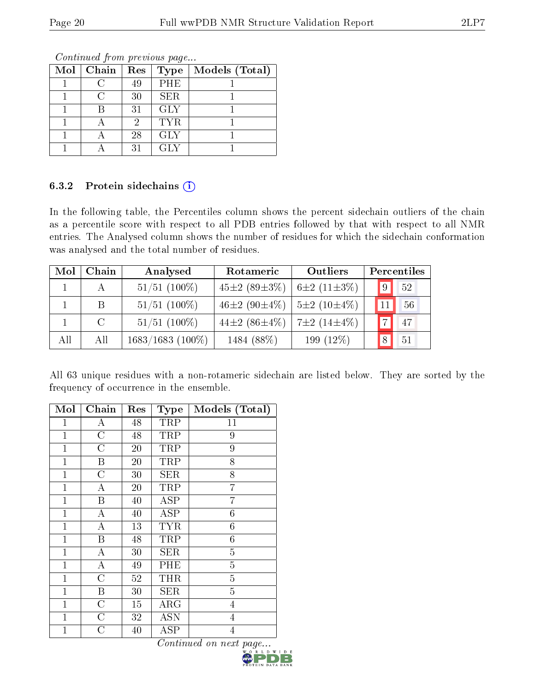| Mol   Chain | Res | <b>Type</b> | Models (Total) |
|-------------|-----|-------------|----------------|
|             | 49  | PHE         |                |
|             | 30  | <b>SER</b>  |                |
|             | 31  | <b>GLY</b>  |                |
|             | 9   | <b>TYR</b>  |                |
|             | 28  | <b>GLY</b>  |                |
|             | 31  | <b>GLY</b>  |                |

#### 6.3.2 Protein sidechains (i)

In the following table, the Percentiles column shows the percent sidechain outliers of the chain as a percentile score with respect to all PDB entries followed by that with respect to all NMR entries. The Analysed column shows the number of residues for which the sidechain conformation was analysed and the total number of residues.

| Mol | Chain   | Analysed           | Rotameric                                            | Outliers     |             | Percentiles     |
|-----|---------|--------------------|------------------------------------------------------|--------------|-------------|-----------------|
|     | А       | $51/51$ (100\%)    | $45\pm2(89\pm3\%)$ $6\pm2(11\pm3\%)$                 |              | $\boxed{9}$ | 52              |
|     | B       | $51/51$ (100%)     | 46 $\pm$ 2 (90 $\pm$ 4\%)   5 $\pm$ 2 (10 $\pm$ 4\%) |              | 11          | $-56$           |
|     | $\rm C$ | $51/51$ (100%)     | 44±2 $(86\pm4\%)$   7±2 $(14\pm4\%)$                 |              | 7           | 47              |
| All | All     | $1683/1683$ (100%) | 1484 (88%)                                           | 199 $(12\%)$ | 8           | $\overline{51}$ |

All 63 unique residues with a non-rotameric sidechain are listed below. They are sorted by the frequency of occurrence in the ensemble.

| Mol          | Chain              | $\operatorname{Res}% \left( \mathcal{N}\right) \equiv\operatorname{Res}(\mathcal{N}_{0})\cap\mathcal{N}_{1}$ | Type                               | Models (Total)                 |
|--------------|--------------------|--------------------------------------------------------------------------------------------------------------|------------------------------------|--------------------------------|
| $\mathbf{1}$ | А                  | 48                                                                                                           | TRP                                | 11                             |
| $\mathbf{1}$ | $\overline{\rm C}$ | 48                                                                                                           | TRP                                | 9                              |
| $\mathbf{1}$ | $\overline{C}$     | $20\,$                                                                                                       | TRP                                | 9                              |
| $\mathbf{1}$ | Β                  | $20\,$                                                                                                       | <b>TRP</b>                         | 8                              |
| $\mathbf{1}$ | $\overline{C}$     | 30                                                                                                           | <b>SER</b>                         | 8                              |
| $\mathbf{1}$ | А                  | 20                                                                                                           | TRP                                | $\overline{7}$                 |
| $\mathbf{1}$ | Β                  | 40                                                                                                           | <b>ASP</b>                         | 7                              |
| $\mathbf{1}$ | А                  | 40                                                                                                           | <b>ASP</b>                         | 6                              |
| $\mathbf{1}$ | А                  | 13                                                                                                           | <b>TYR</b>                         | 6                              |
| $\mathbf{1}$ | Β                  | 48                                                                                                           | TRP                                | 6                              |
| $\mathbf{1}$ | А                  | 30                                                                                                           | <b>SER</b>                         | $\overline{5}$                 |
| $\mathbf{1}$ | A                  | 49                                                                                                           | PHE                                | $\overline{5}$                 |
| $\mathbf{1}$ | $\overline{C}$     | $52\,$                                                                                                       | THR                                | $\overline{5}$                 |
| $\mathbf{1}$ | $\boldsymbol{B}$   | 30                                                                                                           | <b>SER</b>                         | $\overline{5}$                 |
| $\mathbf{1}$ | $\mathcal{C}$      | 15                                                                                                           | ${\rm ARG}$                        | $\overline{4}$                 |
| $\mathbf{1}$ | $\mathcal{C}$      | 32                                                                                                           | <b>ASN</b>                         | $\overline{4}$                 |
| $\mathbf 1$  | $\overline{C}$     | 40                                                                                                           | $_{\rm ASP}$<br>$\sim$<br>$\cdots$ | $\overline{4}$<br>$\mathbf{z}$ |

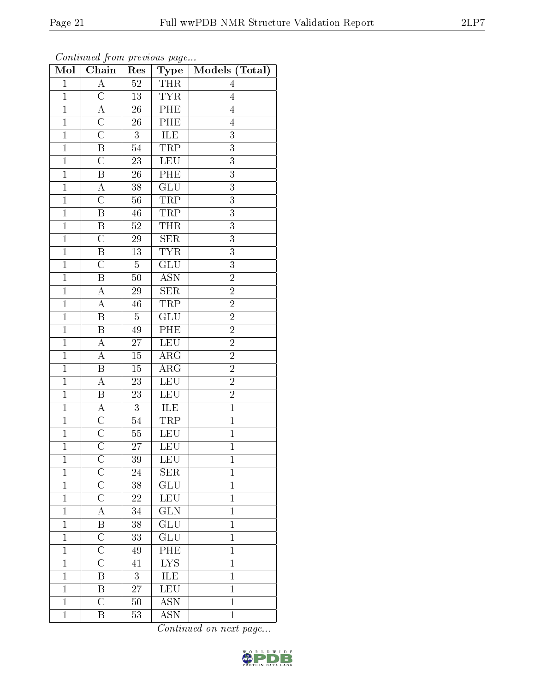| Mol            | $\overline{\text{Chain}}$ | Res             | Type                      | Models (Total) |
|----------------|---------------------------|-----------------|---------------------------|----------------|
| $\mathbf 1$    | $\overline{\rm A}$        | $52\,$          | <b>THR</b>                | 4              |
| $\mathbf{1}$   | $\overline{C}$            | 13              | <b>TYR</b>                | $\overline{4}$ |
| $\overline{1}$ | $\overline{\rm A}$        | $\overline{26}$ | PHE                       | $\overline{4}$ |
| $\mathbf{1}$   | $\overline{\rm C}$        | 26              | PHE                       | $\overline{4}$ |
| $\overline{1}$ | $\overline{\rm C}$        | $\overline{3}$  | <b>ILE</b>                | $\overline{3}$ |
| $\mathbf{1}$   | B                         | 54              | TRP                       | 3              |
| $\mathbf{1}$   | $\overline{\rm C}$        | $23\,$          | <b>LEU</b>                | 3              |
| $\mathbf{1}$   | $\boldsymbol{B}$          | 26              | PHE                       | $\overline{3}$ |
| $\overline{1}$ | $\boldsymbol{A}$          | $38\,$          | $\overline{\text{GLU}}$   | $\overline{3}$ |
| $\overline{1}$ | $\overline{\rm C}$        | $56\,$          | <b>TRP</b>                | $\overline{3}$ |
| $\mathbf 1$    | $\boldsymbol{B}$          | $\sqrt{46}$     | TRP                       | 3              |
| $\mathbf{1}$   | B                         | $52\,$          | <b>THR</b>                | $\overline{3}$ |
| $\overline{1}$ | $\overline{C}$            | 29              | <b>SER</b>                | $\overline{3}$ |
| $\mathbf{1}$   | B                         | 13              | $\overline{\text{YR}}$    | $\overline{3}$ |
| $\overline{1}$ | $\overline{\rm C}$        | $\overline{5}$  | $\overline{\text{GLU}}$   | $\overline{3}$ |
| $\mathbf{1}$   | $\, {\bf B}$              | 50              | <b>ASN</b>                | $\overline{2}$ |
| $\mathbf{1}$   | А                         | $\sqrt{29}$     | SER                       | $\overline{2}$ |
| $\mathbf{1}$   | $\boldsymbol{A}$          | 46              | TRP                       | $\overline{2}$ |
| $\overline{1}$ | B                         | $\overline{5}$  | GLU                       | $\overline{2}$ |
| $\mathbf{1}$   | $\overline{\mathbf{B}}$   | 49              | $\overline{\text{PHE}}$   | $\overline{2}$ |
| $\mathbf{1}$   | А                         | 27              | <b>LEU</b>                | $\overline{2}$ |
| $\overline{1}$ | $\overline{A}$            | $\overline{15}$ | $\overline{\rm{ARG}}$     | $\overline{2}$ |
| $\mathbf{1}$   | $\, {\bf B}$              | $15\,$          | $\rm{ARG}$                | $\overline{2}$ |
| $\overline{1}$ | $\overline{\rm A}$        | $\overline{23}$ | LEU                       | $\overline{2}$ |
| $\mathbf{1}$   | $\boldsymbol{B}$          | 23              | LEU                       | $\overline{2}$ |
| $\mathbf{1}$   | $\boldsymbol{A}$          | 3               | ILE                       | $\mathbf{1}$   |
| $\mathbf{1}$   | $\overline{\rm C}$        | $54\,$          | <b>TRP</b>                | $\mathbf{1}$   |
| $\overline{1}$ | $\overline{\rm C}$        | $55\,$          | LEU                       | $\overline{1}$ |
| $\overline{1}$ | $\overline{\rm C}$        | 27              | $\overline{\text{LEU}}$   | $\overline{1}$ |
| $\mathbf 1$    | $\overline{\rm C}$        | 39              | LEU                       | $\mathbf 1$    |
| 1              | $\rm C$                   | 24              | <b>SER</b>                | 1              |
| $\mathbf{1}$   | $\overline{\rm C}$        | $38\,$          | GLU                       | $\overline{1}$ |
| $\mathbf{1}$   | $\overline{\rm C}$        | 22              | $LE\overline{U}$          | $\mathbf{1}$   |
| $\mathbf{1}$   | A                         | 34              | $\overline{\text{GLN}}$   | $\mathbf 1$    |
| $\mathbf 1$    | B                         | 38              | GLU                       | $\mathbf 1$    |
| $\mathbf 1$    | $\overline{\rm C}$        | 33              | GLU                       | $\mathbf 1$    |
| $\mathbf{1}$   | $\overline{\rm C}$        | 49              | PHE                       | $\mathbf{1}$   |
| $\mathbf{1}$   | $\overline{C}$            | 41              | LYS                       | $\mathbf{1}$   |
| $\mathbf 1$    | Β                         | 3               | ILE                       | $\mathbf 1$    |
| $\mathbf{1}$   | B                         | 27              | <b>LEU</b>                | $\mathbf{1}$   |
| $\mathbf{1}$   | $\overline{\mathrm{C}}$   | 50              | $\overline{ASN}$          | $\mathbf{1}$   |
| $\mathbf{1}$   | $\boldsymbol{B}$          | 53              | $\overline{\mathrm{ASN}}$ | $\mathbf{1}$   |

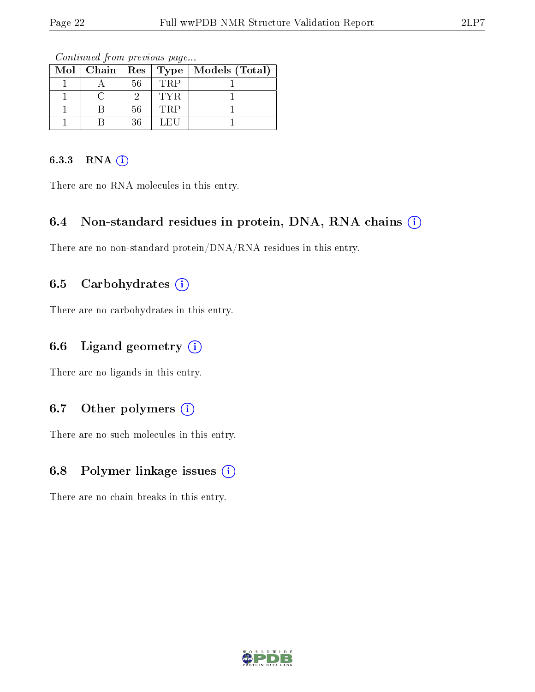| $\overline{\text{Mol}}$   Chain   Res   Type |    |            | Models (Total) |
|----------------------------------------------|----|------------|----------------|
|                                              | 56 | <b>TRP</b> |                |
|                                              |    | TYR.       |                |
|                                              | 56 | <b>TRP</b> |                |
|                                              | 36 | LEU        |                |

Continued from previous page...

#### 6.3.3 RNA (i)

There are no RNA molecules in this entry.

#### 6.4 Non-standard residues in protein, DNA, RNA chains  $(i)$

There are no non-standard protein/DNA/RNA residues in this entry.

### 6.5 Carbohydrates  $(i)$

There are no carbohydrates in this entry.

#### 6.6 Ligand geometry  $(i)$

There are no ligands in this entry.

## 6.7 [O](https://www.wwpdb.org/validation/2017/NMRValidationReportHelp#nonstandard_residues_and_ligands)ther polymers  $(i)$

There are no such molecules in this entry.

## 6.8 Polymer linkage issues (i)

There are no chain breaks in this entry.

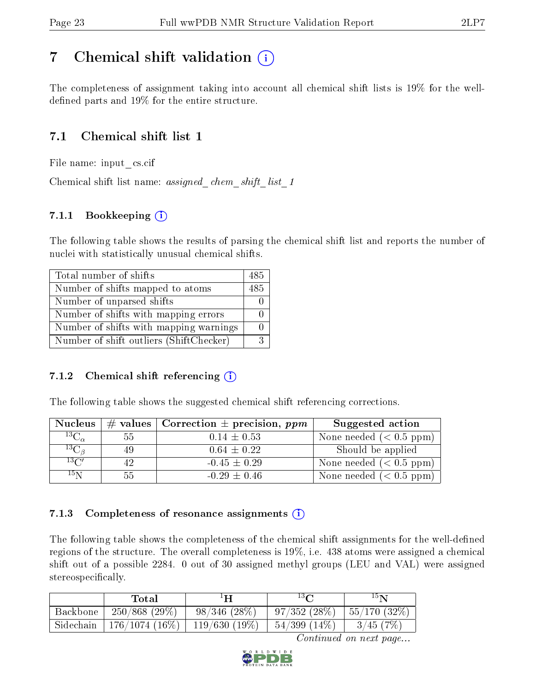## <span id="page-22-0"></span>7 Chemical shift validation  $\left( \begin{array}{c} \overline{1} \end{array} \right)$

The completeness of assignment taking into account all chemical shift lists is 19% for the welldefined parts and  $19\%$  for the entire structure.

## 7.1 Chemical shift list 1

File name: input\_cs.cif

Chemical shift list name: *assigned\_chem\_shift\_list\_1* 

## 7.1.1 Bookkeeping (i)

The following table shows the results of parsing the chemical shift list and reports the number of nuclei with statistically unusual chemical shifts.

| Total number of shifts                  | 485 |
|-----------------------------------------|-----|
| Number of shifts mapped to atoms        | 485 |
| Number of unparsed shifts               |     |
| Number of shifts with mapping errors    |     |
| Number of shifts with mapping warnings  |     |
| Number of shift outliers (ShiftChecker) |     |

#### 7.1.2 Chemical shift referencing  $(i)$

The following table shows the suggested chemical shift referencing corrections.

| <b>Nucleus</b>      |     | # values   Correction $\pm$ precision, ppm | Suggested action        |
|---------------------|-----|--------------------------------------------|-------------------------|
| ${}^{13}C_{\alpha}$ | 55  | $0.14 \pm 0.53$                            | None needed $(0.5 ppm)$ |
| ${}^{13}C_{\beta}$  | -49 | $0.64 \pm 0.22$                            | Should be applied       |
| $13\text{C}$        |     | $-0.45 \pm 0.29$                           | None needed $(0.5 ppm)$ |
| 15 <sub>N</sub>     | 55. | $-0.29 \pm 0.46$                           | None needed $(0.5 ppm)$ |

#### 7.1.3 Completeness of resonance assignments  $(i)$

The following table shows the completeness of the chemical shift assignments for the well-defined regions of the structure. The overall completeness is 19%, i.e. 438 atoms were assigned a chemical shift out of a possible 2284. 0 out of 30 assigned methyl groups (LEU and VAL) were assigned stereospecifically.

|           | Total                          | ŦН                | $13\Omega$        | $15\mathbf{N}$  |
|-----------|--------------------------------|-------------------|-------------------|-----------------|
| Backbone  | $250/868$ (29\%)               | $98/346$ $(28\%)$ | 97/352(28%)       | $ 55/170(32\%)$ |
| Sidechain | 176/1074 (16%)   119/630 (19%) |                   | $54/399$ $(14\%)$ | 3/45(7%)        |

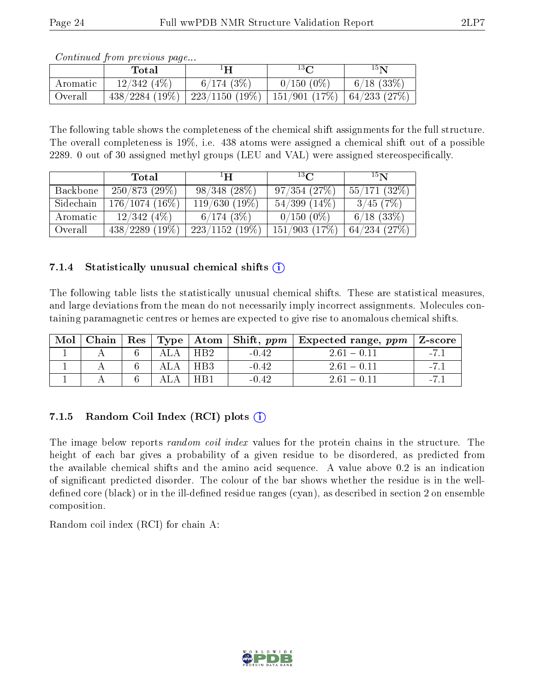|          | <u>oo issiisada jidiishi jirooso ad jiday</u><br>Total | ΕH                                                               | $13\Omega$   | 15 <sub>N</sub>                             |
|----------|--------------------------------------------------------|------------------------------------------------------------------|--------------|---------------------------------------------|
| Aromatic | 12/342(4%)                                             | 6/174(3%)                                                        | $0/150(0\%)$ | $\begin{pmatrix} 6/18 & 33\% \end{pmatrix}$ |
| Overall  |                                                        | $438/2284$ (19%)   223/1150 (19%)   151/901 (17%)   64/233 (27%) |              |                                             |

The following table shows the completeness of the chemical shift assignments for the full structure. The overall completeness is 19%, i.e. 438 atoms were assigned a chemical shift out of a possible 2289. 0 out of 30 assigned methyl groups (LEU and VAL) were assigned stereospecifically.

|           | Total             | ŦН                | $^{13}$ $\cap$    | 15 <sub>N</sub>  |
|-----------|-------------------|-------------------|-------------------|------------------|
| Backbone  | 250/873(29%)      | $98/348$ $(28\%)$ | 97/354(27%)       | $55/171$ (32\%)  |
| Sidechain | $176/1074(16\%)$  | $119/630(19\%)$   | $54/399$ $(14\%)$ | 3/45(7%)         |
| Aromatic  | 12/342(4%)        | 6/174(3%)         | $0/150(0\%)$      | $6/18$ $(33%)$   |
| Overall   | $438/2289$ (19\%) | $223/1152(19\%)$  | 151/903(17%)      | $64/234$ $(27%)$ |

#### 7.1.4 Statistically unusual chemical shifts  $(i)$

The following table lists the statistically unusual chemical shifts. These are statistical measures, and large deviations from the mean do not necessarily imply incorrect assignments. Molecules containing paramagnetic centres or hemes are expected to give rise to anomalous chemical shifts.

| Mol |  |                 |         | Chain   Res   Type   Atom   Shift, $ppm$   Expected range, $ppm$   Z-score |       |
|-----|--|-----------------|---------|----------------------------------------------------------------------------|-------|
|     |  | H <sub>R2</sub> | $-0.42$ | $2.61 - 0.11$                                                              | $-71$ |
|     |  | HB <sub>3</sub> | $-0.42$ | $261 - 011$                                                                |       |
|     |  | HB1             | $-0.42$ | $261 - 011$                                                                |       |

## 7.1.5 Random Coil Index  $(RCI)$  plots  $(i)$

The image below reports *random coil index* values for the protein chains in the structure. The height of each bar gives a probability of a given residue to be disordered, as predicted from the available chemical shifts and the amino acid sequence. A value above 0.2 is an indication of signicant predicted disorder. The colour of the bar shows whether the residue is in the welldefined core (black) or in the ill-defined residue ranges (cyan), as described in section 2 on ensemble composition.

Random coil index (RCI) for chain A: